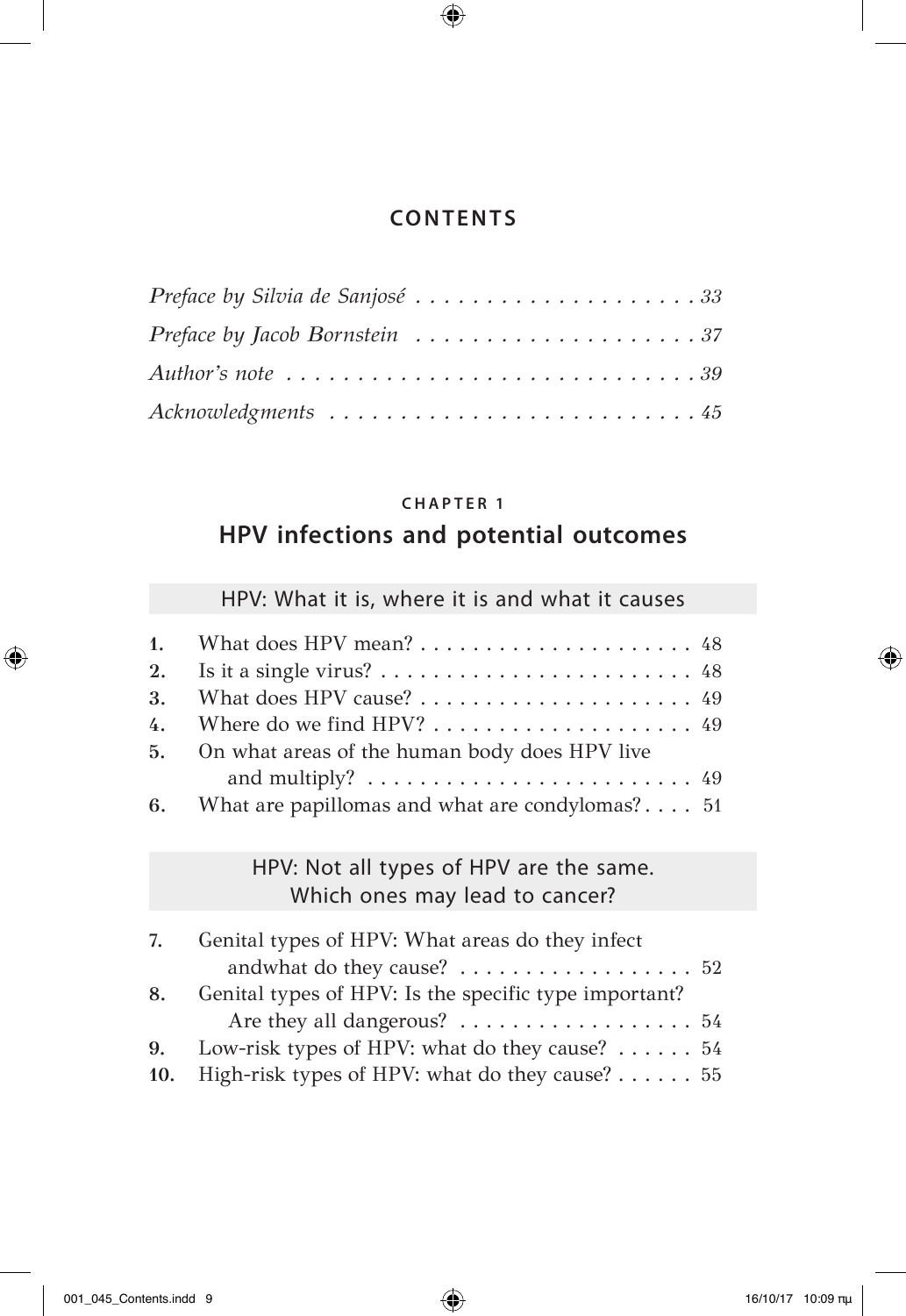$\bigoplus$ 

| Preface by Silvia de Sanjosé 33                                                          |  |  |  |  |  |  |  |  |  |  |
|------------------------------------------------------------------------------------------|--|--|--|--|--|--|--|--|--|--|
| Preface by Jacob Bornstein $\ldots \ldots \ldots \ldots \ldots \ldots \ldots 37$         |  |  |  |  |  |  |  |  |  |  |
| Author's note $\ldots \ldots \ldots \ldots \ldots \ldots \ldots \ldots \ldots \ldots 39$ |  |  |  |  |  |  |  |  |  |  |
|                                                                                          |  |  |  |  |  |  |  |  |  |  |

## **CHAPTER 1**

## **HPV infections and potential outcomes**

## HPV: What it is, where it is and what it causes

| 3. What does HPV cause? $\dots \dots \dots \dots \dots \dots \dots \dots$ 49      |
|-----------------------------------------------------------------------------------|
| 4. Where do we find HPV?  49                                                      |
| 5. On what areas of the human body does HPV live                                  |
| and multiply? $\ldots \ldots \ldots \ldots \ldots \ldots \ldots \ldots \ldots$ 49 |
| 6. What are papillomas and what are condylomas? 51                                |

### HPV: Not all types of HPV are the same. Which ones may lead to cancer?

| 7.  | Genital types of HPV: What areas do they infect                     |
|-----|---------------------------------------------------------------------|
|     | and<br>what do they cause? $\dots\dots\dots\dots\dots\dots\dots$ 52 |
| 8.  | Genital types of HPV: Is the specific type important?               |
|     | Are they all dangerous? 54                                          |
|     | 9. Low-risk types of HPV: what do they cause? $\dots \dots 54$      |
| 10. | High-risk types of HPV: what do they cause? $\dots \dots 55$        |

 $\bigoplus$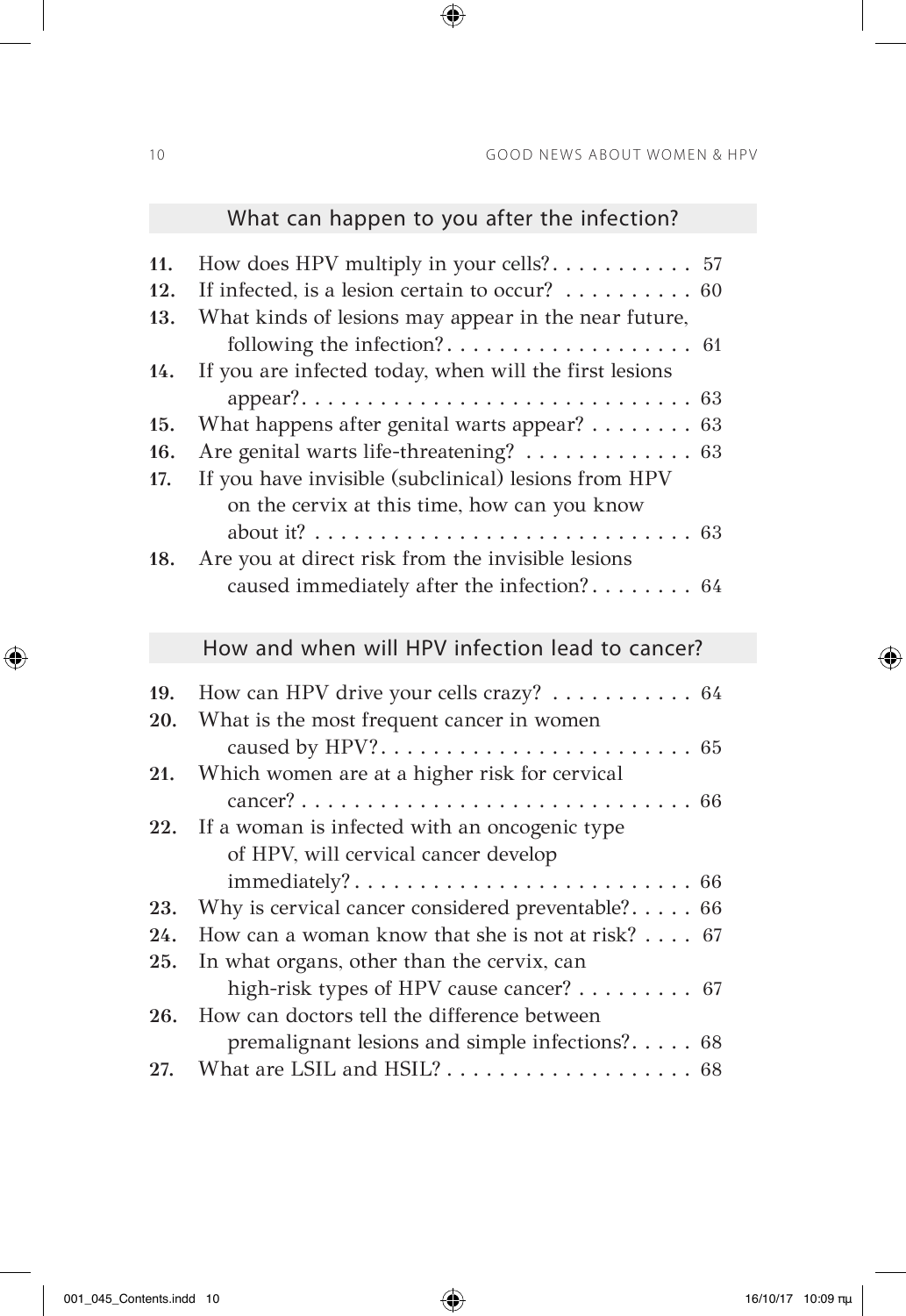|                   | What can happen to you after the infection?                                                                                                                                                            |
|-------------------|--------------------------------------------------------------------------------------------------------------------------------------------------------------------------------------------------------|
| 11.<br>12.<br>13. | How does HPV multiply in your cells?<br>57<br>If infected, is a lesion certain to occur? $\dots \dots$<br>60<br>What kinds of lesions may appear in the near future,<br>following the infection?<br>61 |
| 14.               | If you are infected today, when will the first lesions                                                                                                                                                 |
| 15.               | What happens after genital warts appear? 63                                                                                                                                                            |
| 16.               | Are genital warts life-threatening? 63                                                                                                                                                                 |
| 17.               | If you have invisible (subclinical) lesions from HPV<br>on the cervix at this time, how can you know                                                                                                   |
| 18.               | Are you at direct risk from the invisible lesions                                                                                                                                                      |
|                   | caused immediately after the infection? 64                                                                                                                                                             |
|                   | How and when will HPV infection lead to cancer?                                                                                                                                                        |
| 19.               | How can HPV drive your cells crazy? $\dots \dots \dots \dots$ 64                                                                                                                                       |
| 20.               | What is the most frequent cancer in women                                                                                                                                                              |
| 21.               | Which women are at a higher risk for cervical                                                                                                                                                          |
|                   |                                                                                                                                                                                                        |
| 22.               | If a woman is infected with an oncogenic type                                                                                                                                                          |
|                   | of HPV, will cervical cancer develop                                                                                                                                                                   |
|                   |                                                                                                                                                                                                        |
| 23.               | Why is cervical cancer considered preventable? $66$                                                                                                                                                    |
| 24.               | How can a woman know that she is not at risk? 67                                                                                                                                                       |
| 25.               | In what organs, other than the cervix, can                                                                                                                                                             |
|                   | high-risk types of HPV cause cancer? 67                                                                                                                                                                |
| 26.               | How can doctors tell the difference between                                                                                                                                                            |
|                   | premalignant lesions and simple infections? 68                                                                                                                                                         |
| 27.               |                                                                                                                                                                                                        |

 $\bigoplus$ 

 $\bigoplus$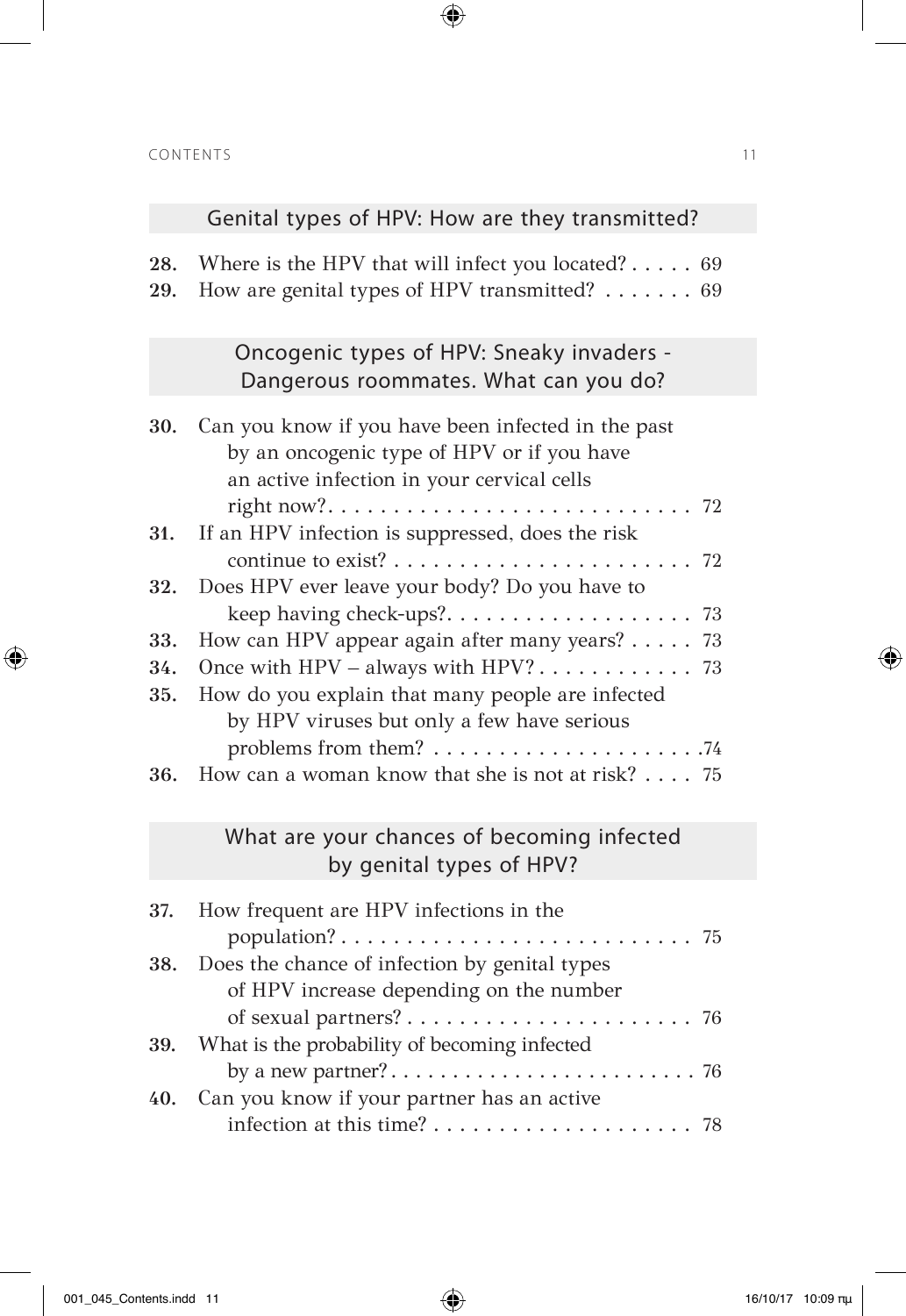# Genital types of HPV: How are they transmitted?

 $\bigoplus$ 

**28.** Where is the HPV that will infect you located?  $\dots$  69 29. How are genital types of HPV transmitted? . . . . . . . 69

### Oncogenic types of HPV: Sneaky invaders - Dangerous roommates. What can you do?

| 30. | Can you know if you have been infected in the past   |
|-----|------------------------------------------------------|
|     | by an oncogenic type of HPV or if you have           |
|     | an active infection in your cervical cells           |
|     |                                                      |
|     | 31. If an HPV infection is suppressed, does the risk |
|     |                                                      |
|     | 32. Does HPV ever leave your body? Do you have to    |
|     |                                                      |
| 33. | How can HPV appear again after many years? 73        |
| 34. |                                                      |
| 35. | How do you explain that many people are infected     |
|     | by HPV viruses but only a few have serious           |
|     |                                                      |
|     | 36. How can a woman know that she is not at risk? 75 |

### What are your chances of becoming infected by genital types of HPV?

| 37. How frequent are HPV infections in the        |  |
|---------------------------------------------------|--|
|                                                   |  |
| 38. Does the chance of infection by genital types |  |
| of HPV increase depending on the number           |  |
|                                                   |  |
| 39. What is the probability of becoming infected  |  |
|                                                   |  |
| 40. Can you know if your partner has an active    |  |
|                                                   |  |

⊕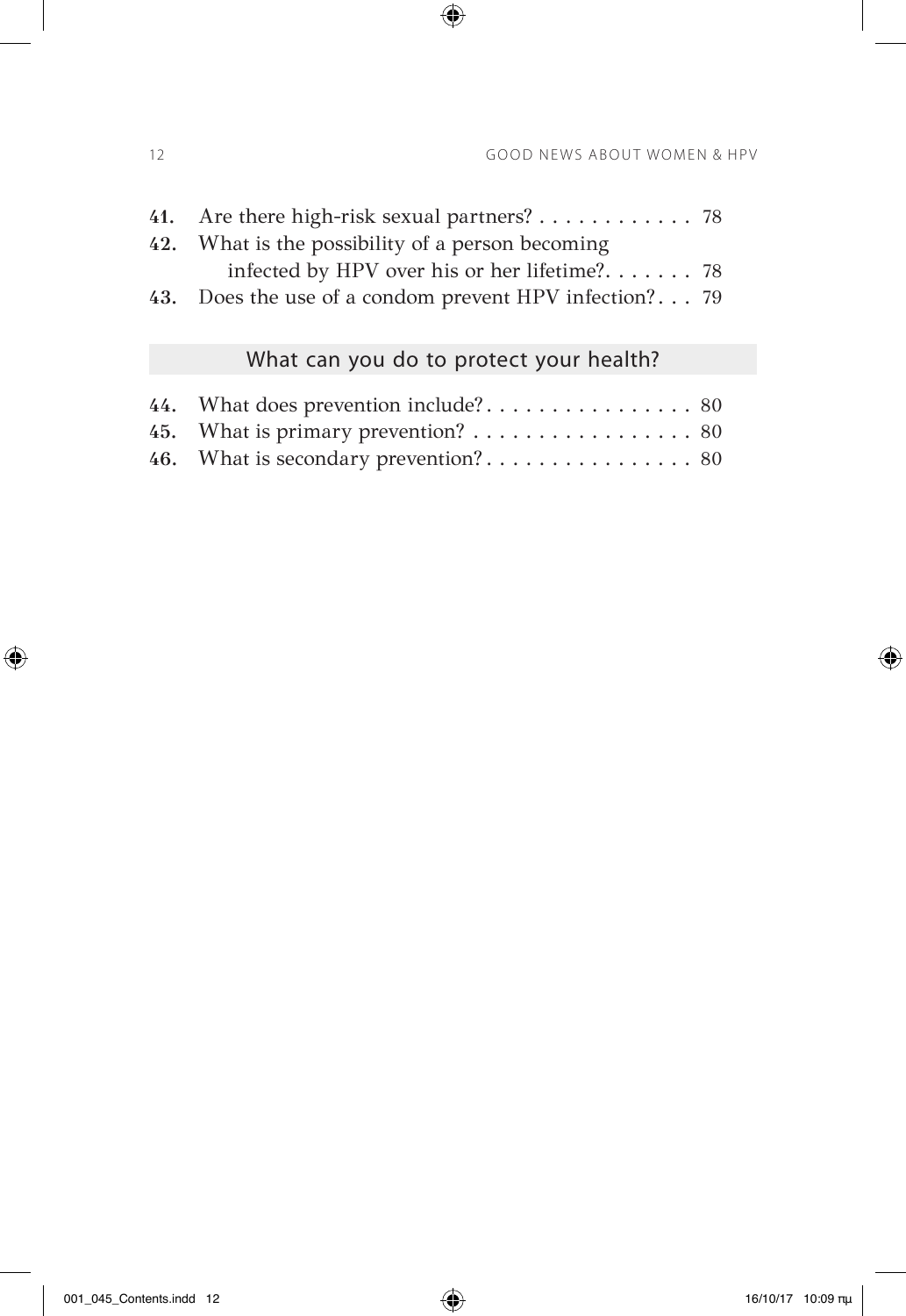| infected by HPV over his or her lifetime? 78           |                                             |
|--------------------------------------------------------|---------------------------------------------|
| 43. Does the use of a condom prevent HPV infection? 79 |                                             |
|                                                        | 41. Are there high-risk sexual partners? 78 |

 $\bigoplus$ 

# What can you do to protect your health?

| 45. What is primary prevention? $\dots \dots \dots \dots \dots \dots \dots$ 80 |  |
|--------------------------------------------------------------------------------|--|
|                                                                                |  |

 $\bigoplus$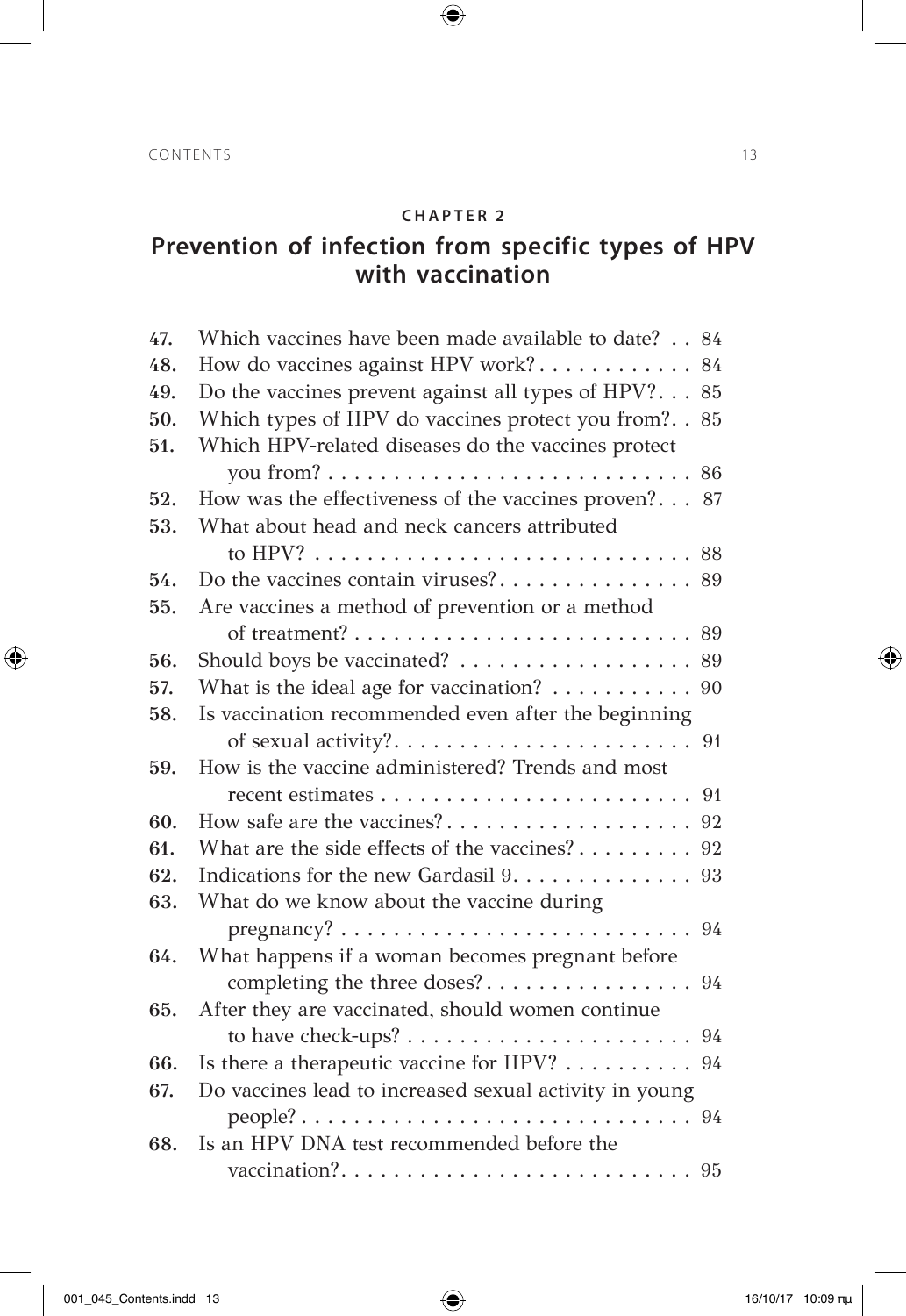$\bigoplus$ 

## **Prevention of infection from specific types of HPV with vaccination**

| 47. | Which vaccines have been made available to date? 84                            |
|-----|--------------------------------------------------------------------------------|
| 48. | How do vaccines against HPV work? 84                                           |
| 49. | Do the vaccines prevent against all types of HPV? 85                           |
| 50. | Which types of HPV do vaccines protect you from?. . 85                         |
| 51. | Which HPV-related diseases do the vaccines protect                             |
|     |                                                                                |
| 52. | How was the effectiveness of the vaccines proven? 87                           |
| 53. | What about head and neck cancers attributed                                    |
|     |                                                                                |
| 54. |                                                                                |
| 55. | Are vaccines a method of prevention or a method                                |
|     |                                                                                |
| 56. | Should boys be vaccinated? 89                                                  |
| 57. | What is the ideal age for vaccination? $\ldots \ldots \ldots$ 90               |
| 58. | Is vaccination recommended even after the beginning                            |
|     | of sexual activity?<br>91                                                      |
| 59. | How is the vaccine administered? Trends and most                               |
|     |                                                                                |
| 60. |                                                                                |
| 61. | What are the side effects of the vaccines? 92                                  |
| 62. | Indications for the new Gardasil 9. 93                                         |
| 63. | What do we know about the vaccine during                                       |
|     | $pregnancy? \ldots \ldots \ldots \ldots \ldots \ldots \ldots \ldots \ldots 94$ |
| 64. | What happens if a woman becomes pregnant before                                |
|     |                                                                                |
| 65. | After they are vaccinated, should women continue                               |
|     |                                                                                |
| 66. | Is there a therapeutic vaccine for HPV? 94                                     |
| 67. | Do vaccines lead to increased sexual activity in young                         |
|     |                                                                                |
| 68. | Is an HPV DNA test recommended before the                                      |
|     |                                                                                |

 $\bigoplus$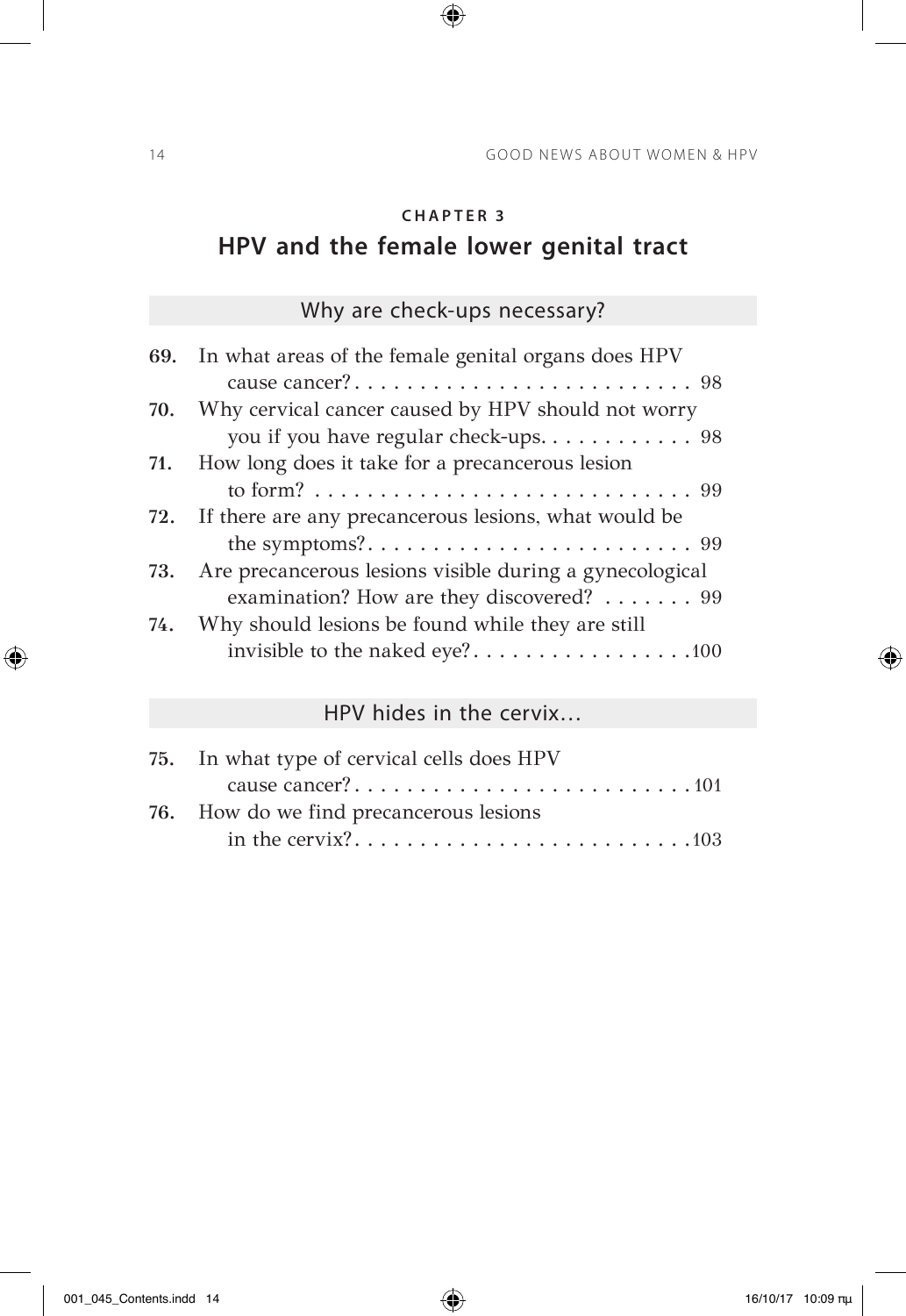$\bigoplus$ 

# **HPV and the female lower genital tract**

## Why are check-ups necessary?

| 69. In what areas of the female genital organs does HPV                                        |
|------------------------------------------------------------------------------------------------|
|                                                                                                |
| Why cervical cancer caused by HPV should not worry                                             |
| you if you have regular check-ups. 98                                                          |
| 71. How long does it take for a precancerous lesion                                            |
| to form? $\ldots \ldots \ldots \ldots \ldots \ldots \ldots \ldots \ldots \ldots \ldots \ldots$ |
| 72. If there are any precancerous lesions, what would be                                       |
|                                                                                                |
| Are precancerous lesions visible during a gynecological                                        |
| examination? How are they discovered? 99                                                       |
| Why should lesions be found while they are still                                               |
| invisible to the naked eye?100                                                                 |
|                                                                                                |

# HPV hides in the cervix…

| 75. In what type of cervical cells does HPV |
|---------------------------------------------|
|                                             |
| 76. How do we find precancerous lesions     |
|                                             |

 $\bigoplus$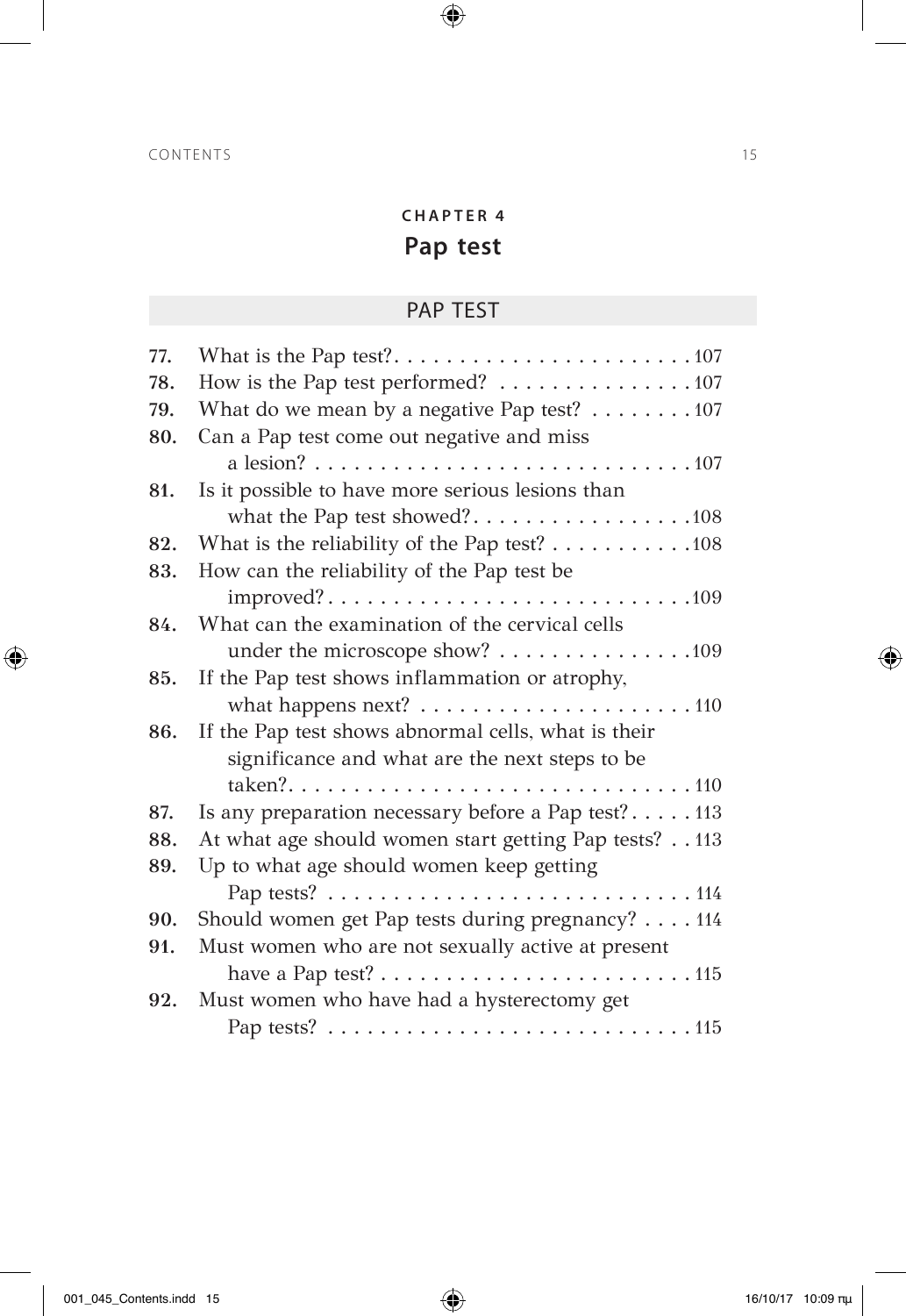# **CHAPTER 4 Pap test**

 $\bigoplus$ 

## PAP TEST

| 77. |                                                                                                                    |
|-----|--------------------------------------------------------------------------------------------------------------------|
| 78. | How is the Pap test performed? 107                                                                                 |
| 79. | What do we mean by a negative Pap test? $\dots \dots \dots \dots \dots$ 107                                        |
| 80. | Can a Pap test come out negative and miss                                                                          |
|     |                                                                                                                    |
| 81. | Is it possible to have more serious lesions than                                                                   |
|     | what the Pap test showed?108                                                                                       |
| 82. | What is the reliability of the Pap test? $\dots \dots \dots \dots \dots \dots$                                     |
| 83. | How can the reliability of the Pap test be                                                                         |
|     |                                                                                                                    |
| 84. | What can the examination of the cervical cells                                                                     |
|     | under the microscope show? 109                                                                                     |
| 85. | If the Pap test shows inflammation or atrophy,                                                                     |
|     |                                                                                                                    |
| 86. | If the Pap test shows abnormal cells, what is their                                                                |
|     | significance and what are the next steps to be                                                                     |
|     |                                                                                                                    |
| 87. | Is any preparation necessary before a Pap test?113                                                                 |
| 88. | At what age should women start getting Pap tests? 113                                                              |
| 89. | Up to what age should women keep getting                                                                           |
|     |                                                                                                                    |
| 90. | Should women get Pap tests during pregnancy? 114                                                                   |
| 91. | Must women who are not sexually active at present                                                                  |
|     | have a Pap test? $\dots \dots \dots \dots \dots \dots \dots \dots \dots \dots \dots \dots \dots \dots \dots \dots$ |
| 92. | Must women who have had a hysterectomy get                                                                         |
|     |                                                                                                                    |

 $\bigoplus$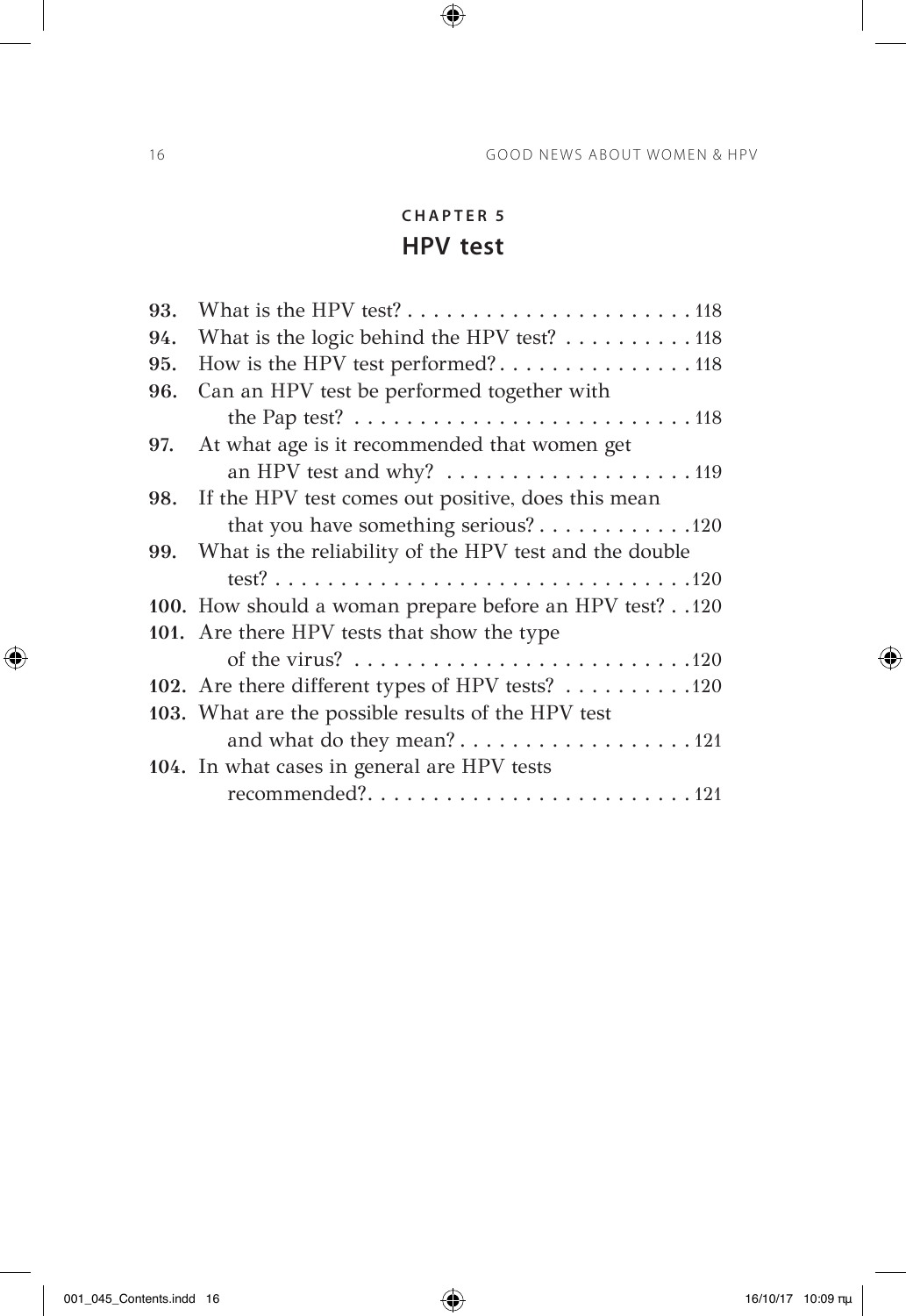## **CHAPTER 5 HPV test**

 $\bigoplus$ 

| 93. |                                                                                                                       |
|-----|-----------------------------------------------------------------------------------------------------------------------|
| 94. | What is the logic behind the HPV test? 118                                                                            |
| 95. | How is the HPV test performed?118                                                                                     |
| 96. | Can an HPV test be performed together with                                                                            |
|     | the Pap test? $\dots \dots \dots \dots \dots \dots \dots \dots \dots \dots \dots \dots \dots \dots \dots \dots \dots$ |
| 97. | At what age is it recommended that women get                                                                          |
|     | an HPV test and why? $\dots \dots \dots \dots \dots \dots \dots \dots \dots \dots \dots \dots \dots \dots$            |
|     | 98. If the HPV test comes out positive, does this mean                                                                |
|     | that you have something serious?120                                                                                   |
|     | 99. What is the reliability of the HPV test and the double                                                            |
|     |                                                                                                                       |
|     | 100. How should a woman prepare before an HPV test?120                                                                |
|     | 101. Are there HPV tests that show the type                                                                           |
|     |                                                                                                                       |
|     | 102. Are there different types of HPV tests? 120                                                                      |
|     | 103. What are the possible results of the HPV test                                                                    |
|     | and what do they mean?121                                                                                             |
|     | 104. In what cases in general are HPV tests                                                                           |
|     | recommended?121                                                                                                       |
|     |                                                                                                                       |

 $\bigoplus$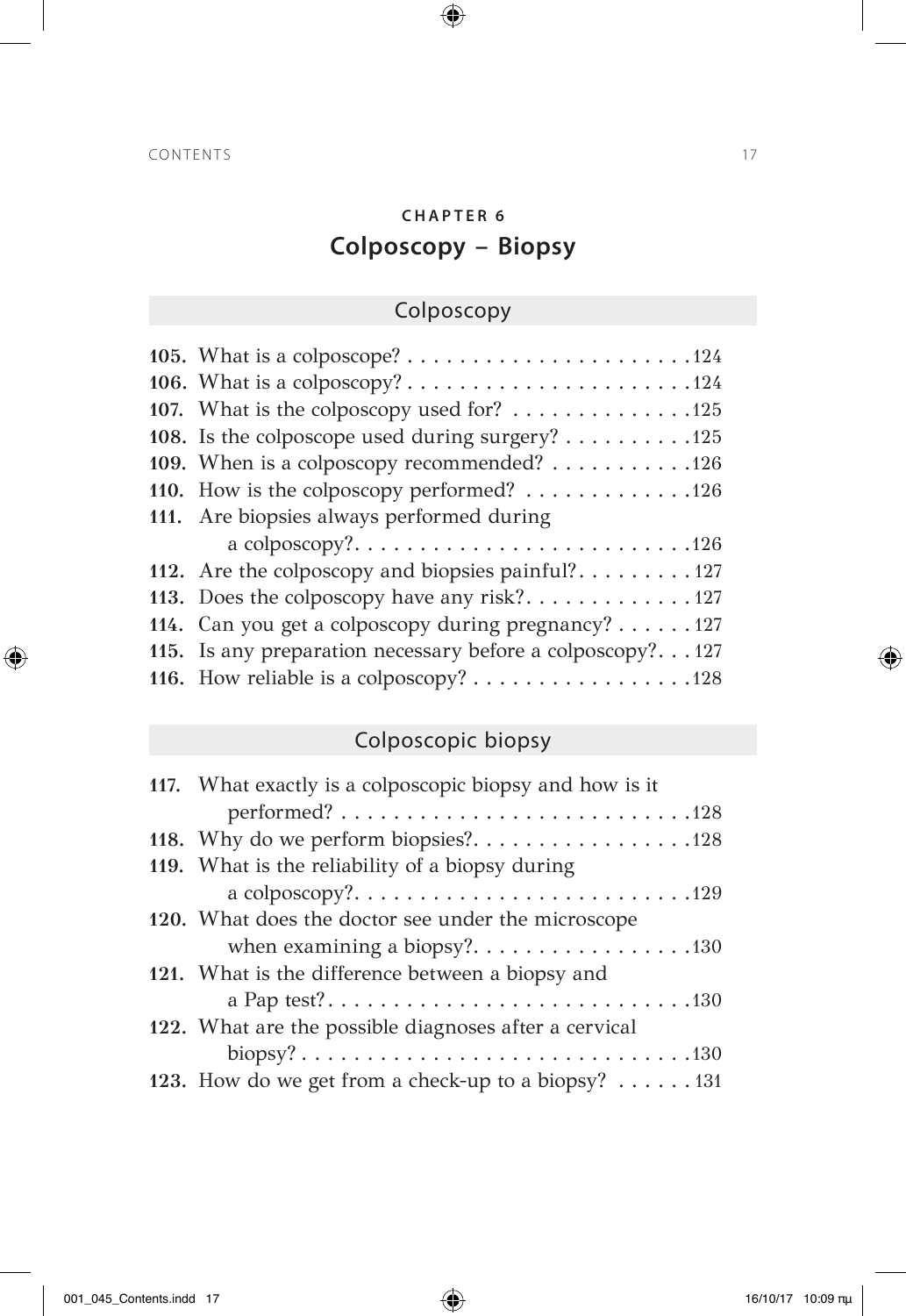# **CHAPTER 6 Colposcopy – Biopsy**

 $\bigoplus$ 

# Colposcopy

| 107. What is the colposcopy used for? 125                                  |
|----------------------------------------------------------------------------|
| 108. Is the colposcope used during surgery? 125                            |
| 109. When is a colposcopy recommended? $\dots \dots \dots \dots \dots$ 126 |
| 110. How is the colposcopy performed? 126                                  |
| 111. Are biopsies always performed during                                  |
|                                                                            |
| 112. Are the colposcopy and biopsies painful?127                           |
| 113. Does the colposcopy have any risk?127                                 |
| 114. Can you get a colposcopy during pregnancy? $\dots$ 127                |
| 115. Is any preparation necessary before a colposcopy?127                  |
| 116. How reliable is a colposcopy? 128                                     |
|                                                                            |

# Colposcopic biopsy

| 117. What exactly is a colposcopic biopsy and how is it                         |
|---------------------------------------------------------------------------------|
| $performed? \ldots \ldots \ldots \ldots \ldots \ldots \ldots \ldots \ldots 128$ |
| 118. Why do we perform biopsies?128                                             |
| 119. What is the reliability of a biopsy during                                 |
|                                                                                 |
| 120. What does the doctor see under the microscope                              |
|                                                                                 |
| 121. What is the difference between a biopsy and                                |
|                                                                                 |
| 122. What are the possible diagnoses after a cervical                           |
|                                                                                 |
| 123. How do we get from a check-up to a biopsy? 131                             |

 $\bigoplus$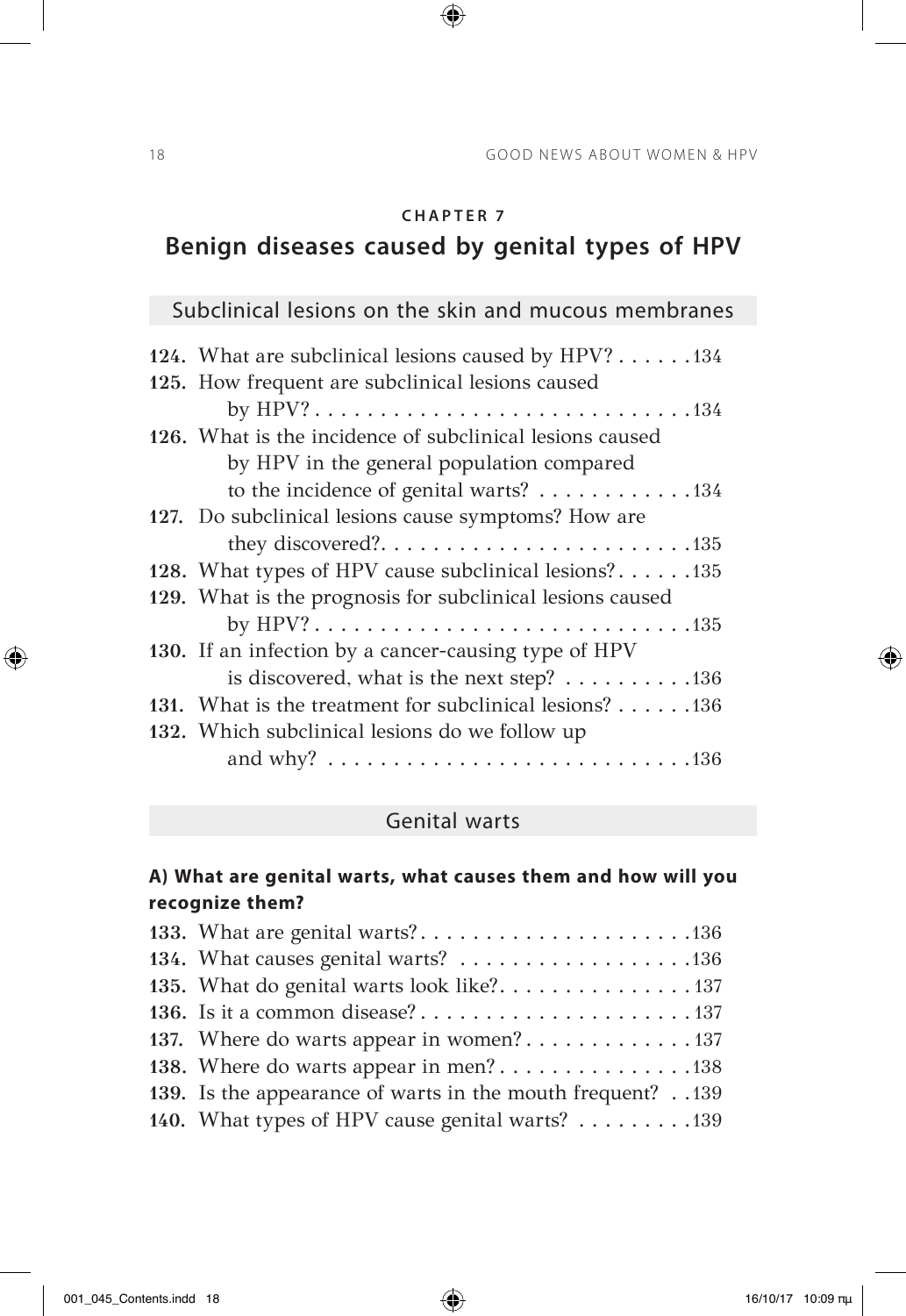$\bigoplus$ 

## **Benign diseases caused by genital types of HPV**

# Subclinical lesions on the skin and mucous membranes

| 124. What are subclinical lesions caused by HPV? 134                |
|---------------------------------------------------------------------|
| 125. How frequent are subclinical lesions caused                    |
|                                                                     |
| 126. What is the incidence of subclinical lesions caused            |
| by HPV in the general population compared                           |
| to the incidence of genital warts? 134                              |
| 127. Do subclinical lesions cause symptoms? How are                 |
|                                                                     |
| 128. What types of HPV cause subclinical lesions?135                |
| 129. What is the prognosis for subclinical lesions caused           |
|                                                                     |
| 130. If an infection by a cancer-causing type of HPV                |
| is discovered, what is the next step? $\dots \dots \dots \dots 136$ |
| 131. What is the treatment for subclinical lesions? 136             |
| 132. Which subclinical lesions do we follow up                      |
|                                                                     |

### Genital warts

#### **A) What are genital warts, what causes them and how will you recognize them?**

| 133. What are genital warts?136                           |
|-----------------------------------------------------------|
|                                                           |
| 135. What do genital warts look like?. 137                |
|                                                           |
| 137. Where do warts appear in women?137                   |
| 138. Where do warts appear in men?138                     |
| 139. Is the appearance of warts in the mouth frequent?139 |
| 140. What types of HPV cause genital warts? 139           |

 $\bigoplus$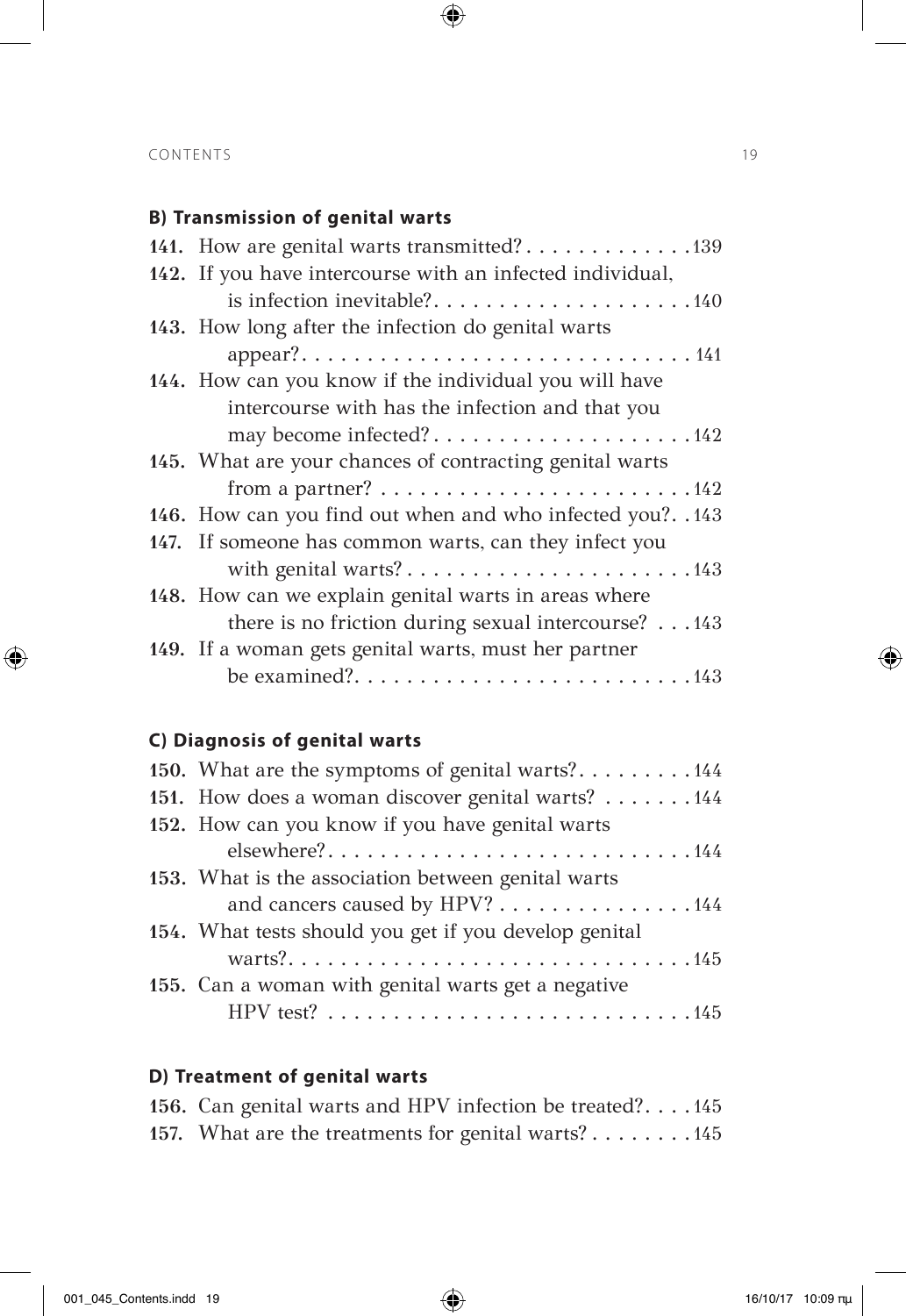### **B) Transmission of genital warts**

| 141. How are genital warts transmitted?139                                                                        |
|-------------------------------------------------------------------------------------------------------------------|
| 142. If you have intercourse with an infected individual,                                                         |
|                                                                                                                   |
| 143. How long after the infection do genital warts                                                                |
|                                                                                                                   |
| 144. How can you know if the individual you will have                                                             |
| intercourse with has the infection and that you                                                                   |
| may become infected?142                                                                                           |
| 145. What are your chances of contracting genital warts                                                           |
| from a partner? $\dots \dots \dots \dots \dots \dots \dots \dots \dots \dots \dots \dots \dots \dots \dots \dots$ |
| 146. How can you find out when and who infected you?143                                                           |
| 147. If someone has common warts, can they infect you                                                             |
| with genital warts?143                                                                                            |
| 148. How can we explain genital warts in areas where                                                              |
| there is no friction during sexual intercourse? 143                                                               |
| 149. If a woman gets genital warts, must her partner                                                              |
|                                                                                                                   |

 $\bigoplus$ 

### **C) Diagnosis of genital warts**

| 150. What are the symptoms of genital warts?144                                       |
|---------------------------------------------------------------------------------------|
| 151. How does a woman discover genital warts? 144                                     |
| 152. How can you know if you have genital warts                                       |
| elsewhere?144                                                                         |
| 153. What is the association between genital warts                                    |
| and cancers caused by HPV? 144                                                        |
| 154. What tests should you get if you develop genital                                 |
|                                                                                       |
| 155. Can a woman with genital warts get a negative                                    |
| HPV test? $\ldots \ldots \ldots \ldots \ldots \ldots \ldots \ldots \ldots \ldots 145$ |
|                                                                                       |

### **D) Treatment of genital warts**

| 156. Can genital warts and HPV infection be treated?145 |  |
|---------------------------------------------------------|--|
| 157. What are the treatments for genital warts? 145     |  |

 $\bigoplus$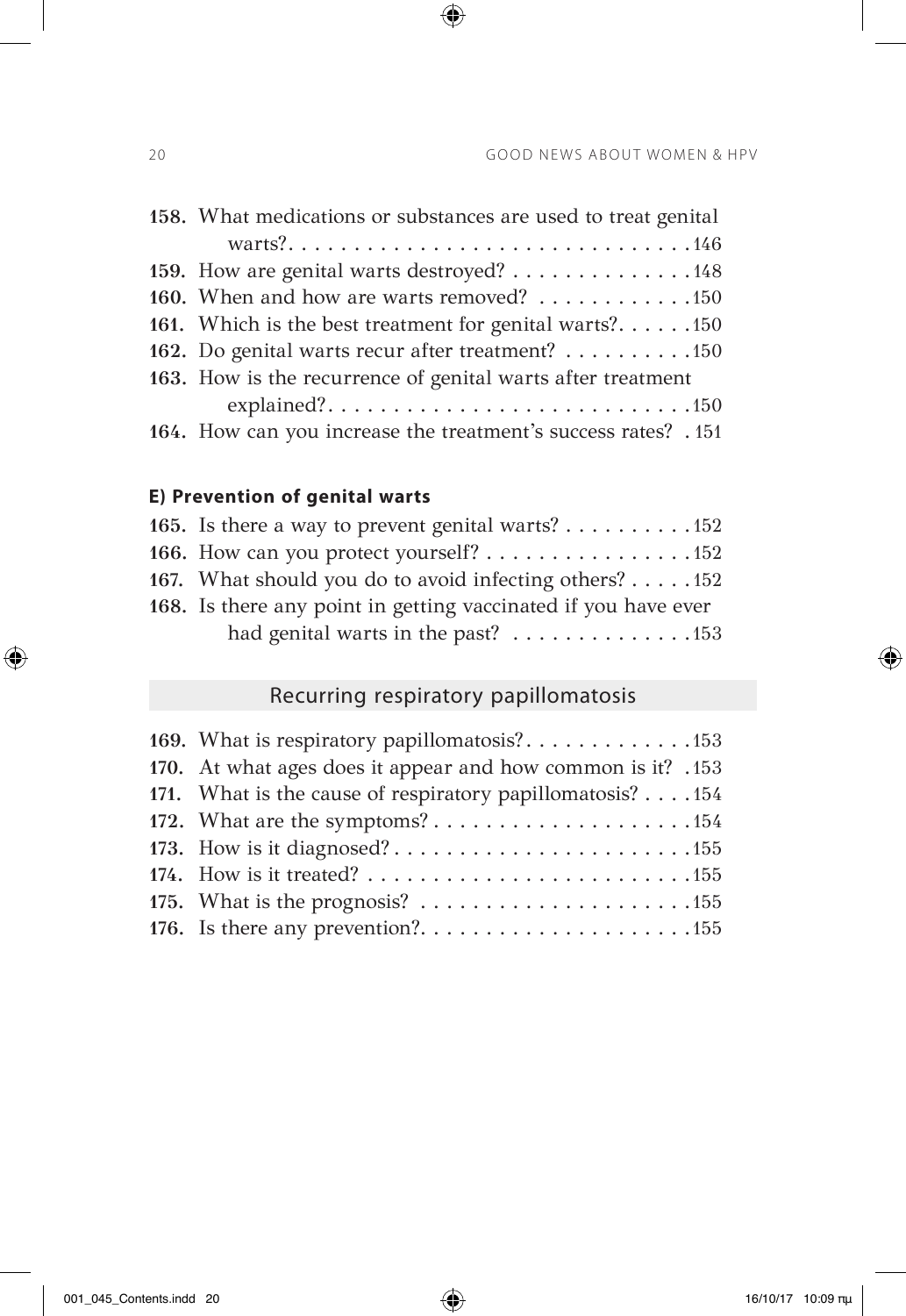| 158. What medications or substances are used to treat genital  |
|----------------------------------------------------------------|
|                                                                |
| 159. How are genital warts destroyed? 148                      |
| 160. When and how are warts removed? 150                       |
| 161. Which is the best treatment for genital warts?150         |
| 162. Do genital warts recur after treatment? 150               |
| 163. How is the recurrence of genital warts after treatment    |
|                                                                |
| 164. How can you increase the treatment's success rates? . 151 |

 $\bigoplus$ 

### **E) Prevention of genital warts**

| 165. Is there a way to prevent genital warts? $\dots \dots \dots \dots \dots$  |
|--------------------------------------------------------------------------------|
| 166. How can you protect yourself? $\ldots \ldots \ldots \ldots \ldots \ldots$ |
| 167. What should you do to avoid infecting others? $\dots$ .152                |
| 168. Is there any point in getting vaccinated if you have ever                 |
|                                                                                |

# Recurring respiratory papillomatosis

| 170. At what ages does it appear and how common is it? .153 |  |
|-------------------------------------------------------------|--|
| 171. What is the cause of respiratory papillomatosis? 154   |  |
| 172. What are the symptoms?154                              |  |
|                                                             |  |
|                                                             |  |
|                                                             |  |
|                                                             |  |

 $\bigoplus$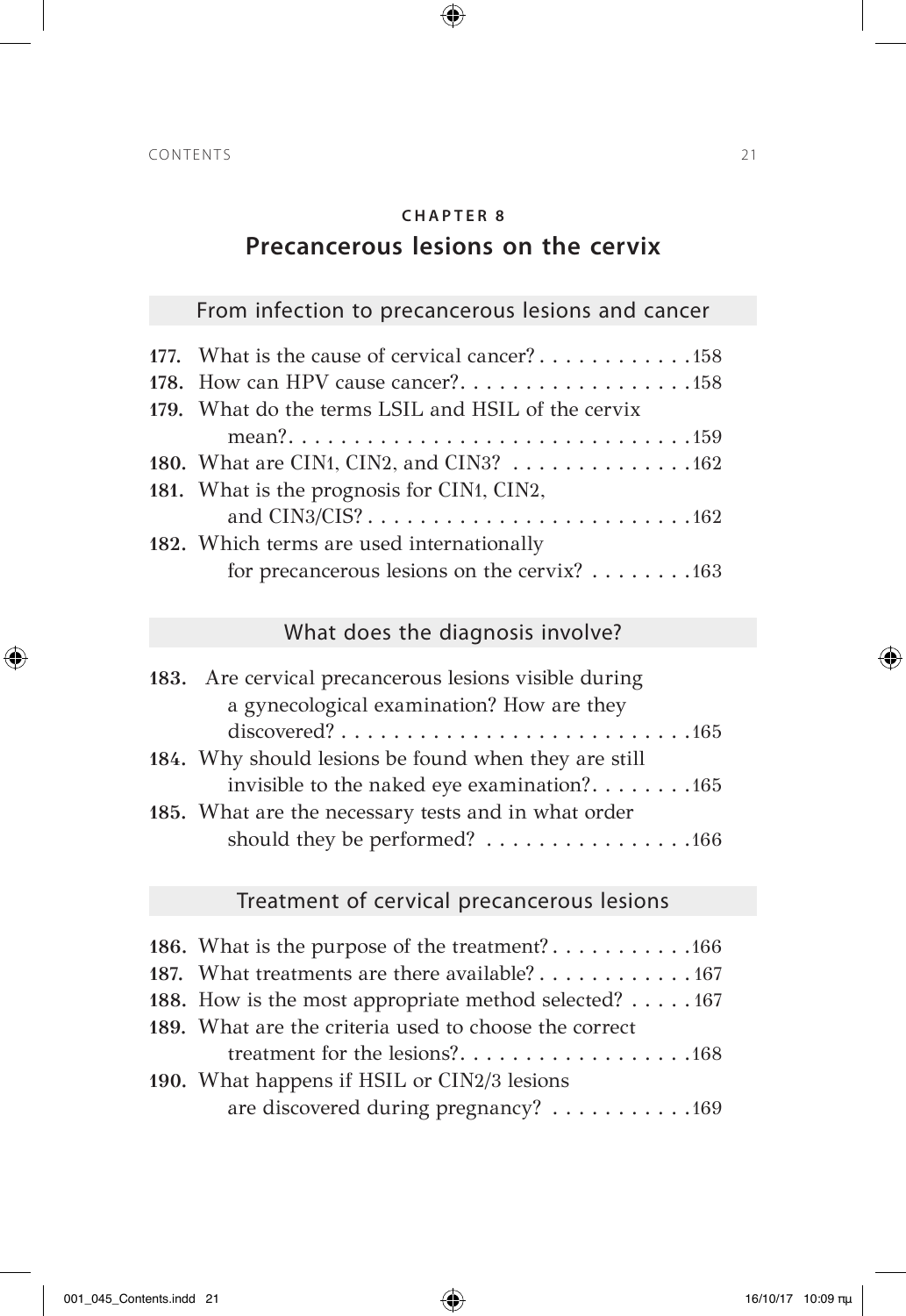$\bigoplus$ 

### **Precancerous lesions on the cervix**

## From infection to precancerous lesions and cancer

| 177. What is the cause of cervical cancer?158      |
|----------------------------------------------------|
|                                                    |
| 179. What do the terms LSIL and HSIL of the cervix |
|                                                    |
| 180. What are CIN1, CIN2, and CIN3? 162            |
| 181. What is the prognosis for CIN1, CIN2,         |
|                                                    |
| 182. Which terms are used internationally          |
| for precancerous lesions on the cervix? 163        |

## What does the diagnosis involve?

| 183. Are cervical precancerous lesions visible during                                          |
|------------------------------------------------------------------------------------------------|
| a gynecological examination? How are they                                                      |
| $discovered? \ldots \ldots \ldots \ldots \ldots \ldots \ldots \ldots \ldots \ldots \ldots 165$ |
| 184. Why should lesions be found when they are still                                           |
| invisible to the naked eye examination?. $\dots \dots \dots \dots$ 165                         |
| 185. What are the necessary tests and in what order                                            |
| should they be performed? 166                                                                  |

## Treatment of cervical precancerous lesions

| 187. What treatments are there available? 167         |
|-------------------------------------------------------|
| 188. How is the most appropriate method selected? 167 |
| 189. What are the criteria used to choose the correct |
|                                                       |
| 190. What happens if HSIL or CIN2/3 lesions           |
| are discovered during pregnancy? 169                  |

 $\bigoplus$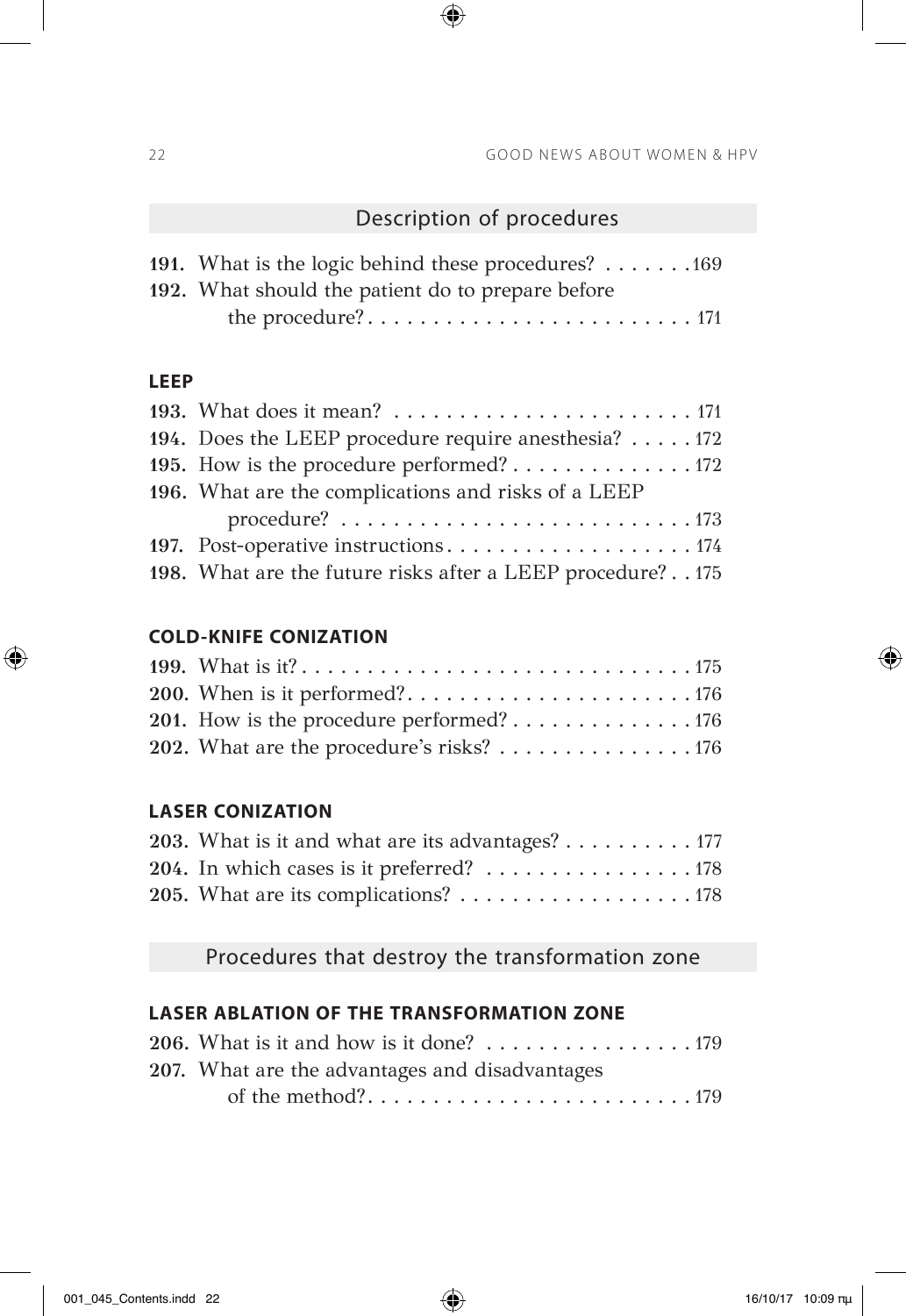### Description of procedures

| 191. What is the logic behind these procedures? $\dots \dots \dots$ 169 |
|-------------------------------------------------------------------------|
| 192. What should the patient do to prepare before                       |
|                                                                         |

 $\bigoplus$ 

#### **LEEP**

 $\bigoplus$ 

| 194. Does the LEEP procedure require anesthesia? $\dots$ . 172 |
|----------------------------------------------------------------|
| 195. How is the procedure performed? 172                       |
| 196. What are the complications and risks of a LEEP            |
|                                                                |
| 197. Post-operative instructions174                            |
| 198. What are the future risks after a LEEP procedure? 175     |

#### **COLD-KNIFE CONIZATION**

| 202. What are the procedure's risks? 176 |  |
|------------------------------------------|--|

#### **LASER CONIZATION**

| 203. What is it and what are its advantages? $\dots \dots \dots \dots$ |  |
|------------------------------------------------------------------------|--|
| 204. In which cases is it preferred? 178                               |  |
|                                                                        |  |

Procedures that destroy the transformation zone

#### **LASER ABLATION OF THE TRANSFORMATION ZONE**

| 206. What is it and how is it done? $\dots \dots \dots \dots \dots \dots \dots$ |  |
|---------------------------------------------------------------------------------|--|
| 207. What are the advantages and disadvantages                                  |  |
|                                                                                 |  |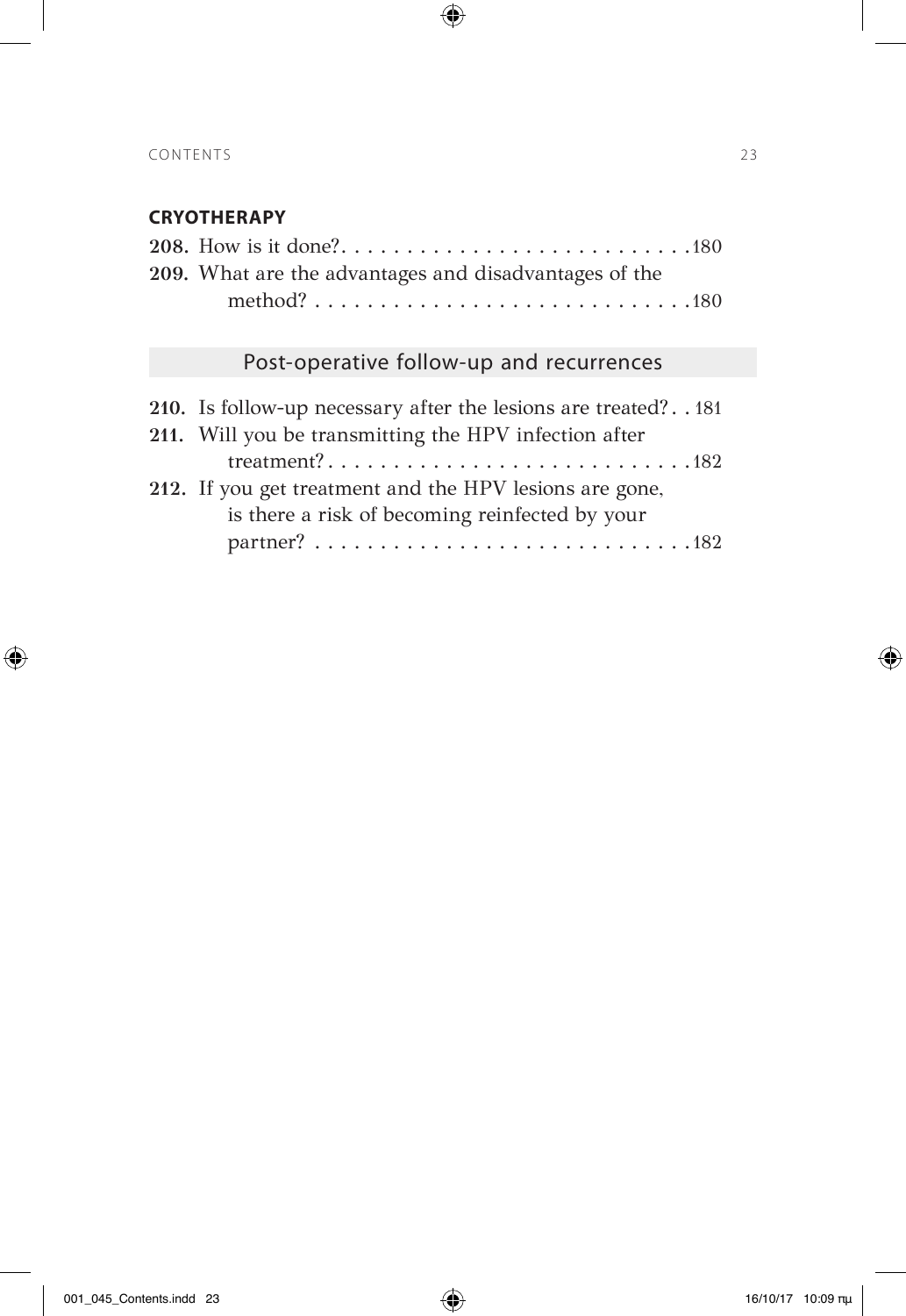### **CRYOTHERAPY**

| 209. What are the advantages and disadvantages of the |
|-------------------------------------------------------|
|                                                       |

 $\bigoplus$ 

## Post-operative follow-up and recurrences

| 210. Is follow-up necessary after the lesions are treated?181 |  |
|---------------------------------------------------------------|--|
| 211. Will you be transmitting the HPV infection after         |  |
|                                                               |  |
| 212. If you get treatment and the HPV lesions are gone,       |  |
| is there a risk of becoming reinfected by your                |  |
|                                                               |  |

 $\bigoplus$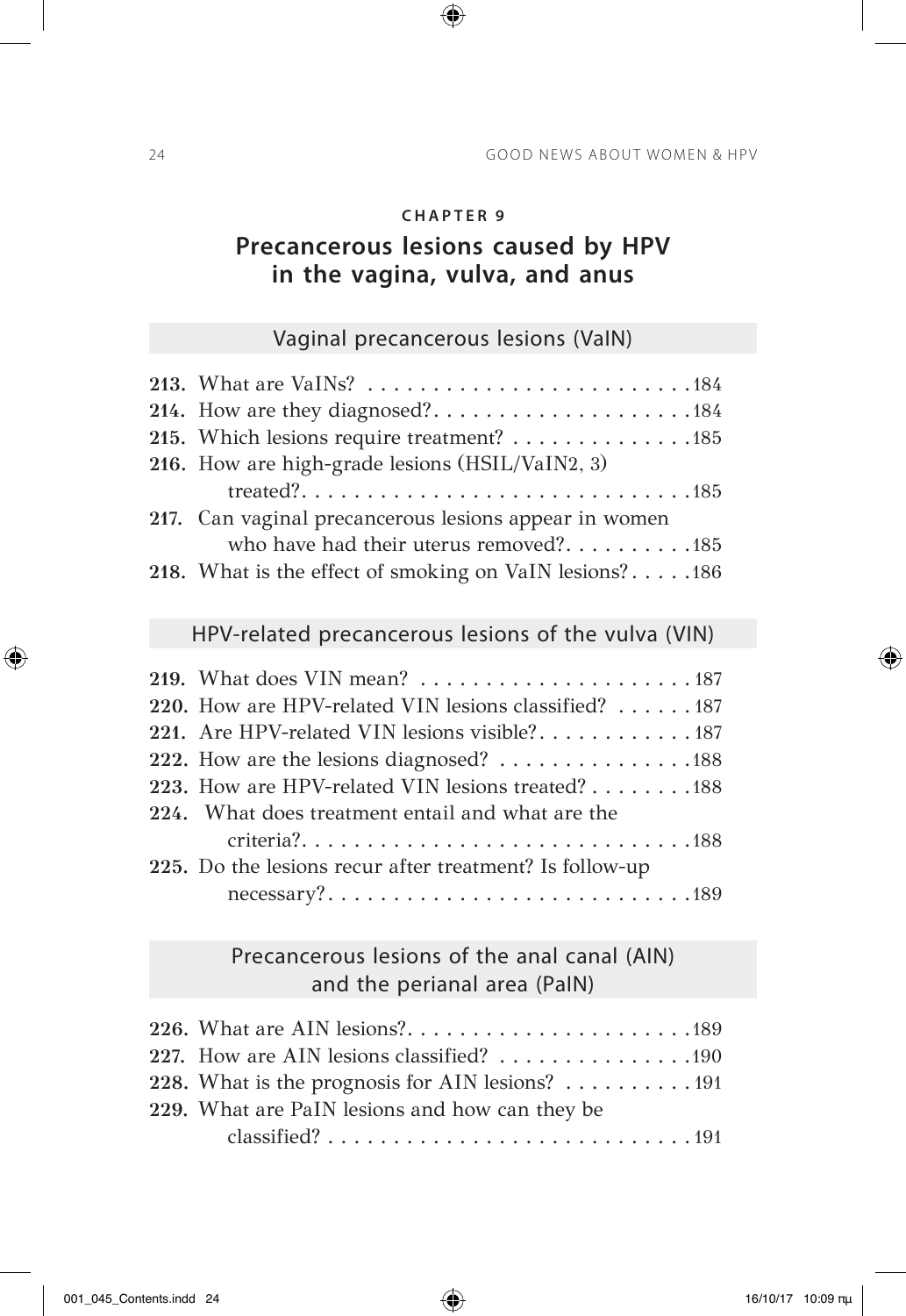$\bigoplus$ 

## **Precancerous lesions caused by HPV in the vagina, vulva, and anus**

### Vaginal precancerous lesions (VaIN)

| 214. How are they diagnosed?184                         |
|---------------------------------------------------------|
| 215. Which lesions require treatment? 185               |
| 216. How are high-grade lesions (HSIL/VaIN2, 3)         |
|                                                         |
| 217. Can vaginal precancerous lesions appear in women   |
| who have had their uterus removed?185                   |
| 218. What is the effect of smoking on VaIN lesions?186  |
|                                                         |
| HPV-related precancerous lesions of the vulva (VIN)     |
|                                                         |
| 220. How are HPV-related VIN lesions classified? 187    |
| 221. Are HPV-related VIN lesions visible?187            |
|                                                         |
| 223. How are HPV-related VIN lesions treated? 188       |
|                                                         |
| 224. What does treatment entail and what are the        |
|                                                         |
| 225. Do the lesions recur after treatment? Is follow-up |
|                                                         |

Precancerous lesions of the anal canal (AΙN) and the perianal area (PaIN)

| 227. How are AIN lesions classified? 190                                     |
|------------------------------------------------------------------------------|
| 228. What is the prognosis for AIN lesions? 191                              |
| 229. What are PaIN lesions and how can they be                               |
| classified? $\ldots \ldots \ldots \ldots \ldots \ldots \ldots \ldots \ldots$ |

 $\bigoplus$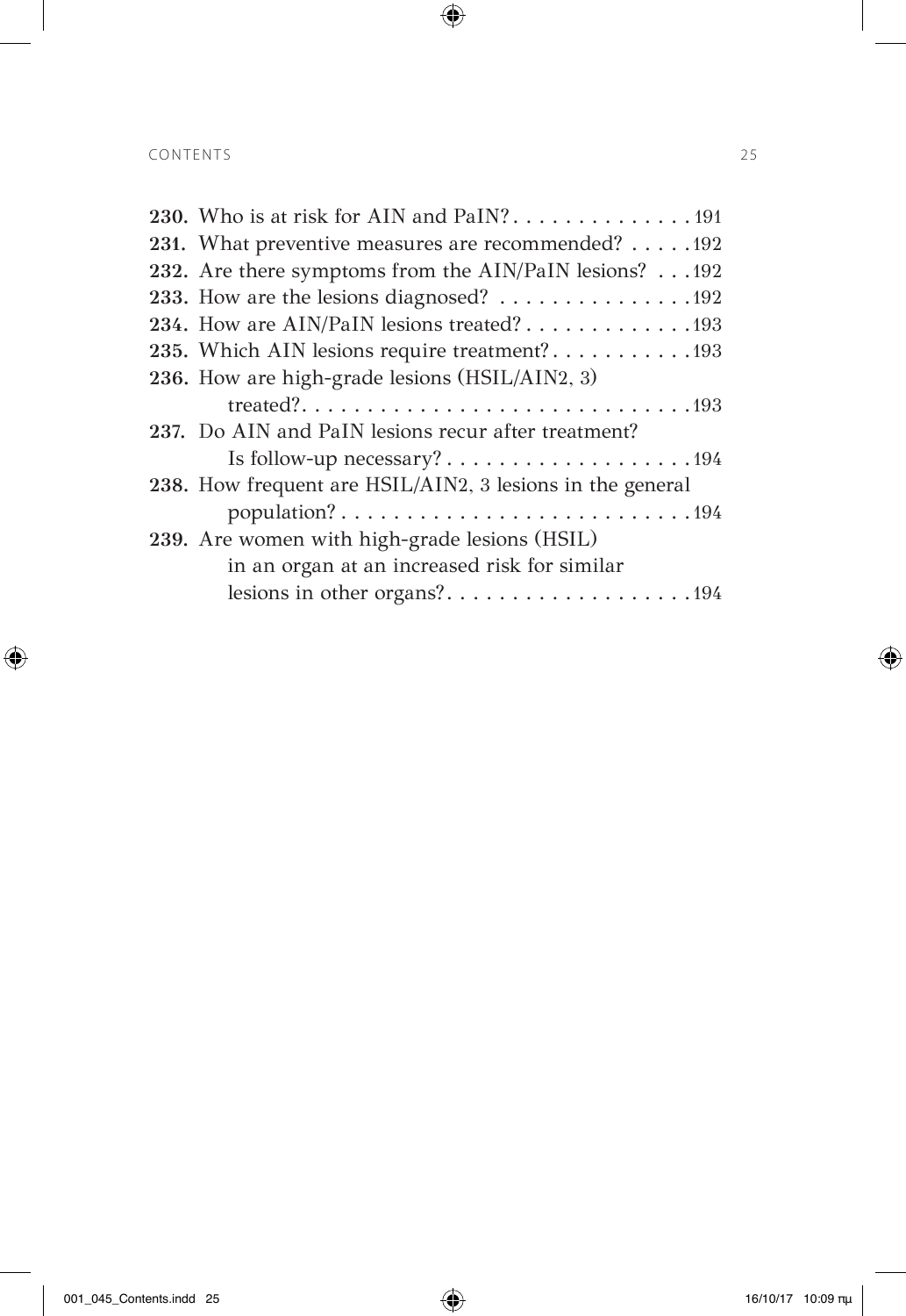$\overline{\phantom{a}}$ 

 $\bigoplus$ 

| 231. What preventive measures are recommended? 192        |
|-----------------------------------------------------------|
| 232. Are there symptoms from the AIN/PaIN lesions? 192    |
| 233. How are the lesions diagnosed? 192                   |
| 234. How are AIN/PaIN lesions treated? 193                |
| 235. Which AIN lesions require treatment?193              |
| 236. How are high-grade lesions (HSIL/AIN2, 3)            |
|                                                           |
| 237. Do AIN and PaIN lesions recur after treatment?       |
|                                                           |
| 238. How frequent are HSIL/AIN2, 3 lesions in the general |
| population?194                                            |
| 239. Are women with high-grade lesions (HSIL)             |
| in an organ at an increased risk for similar              |
| lesions in other organs?194                               |
|                                                           |

 $\bigoplus$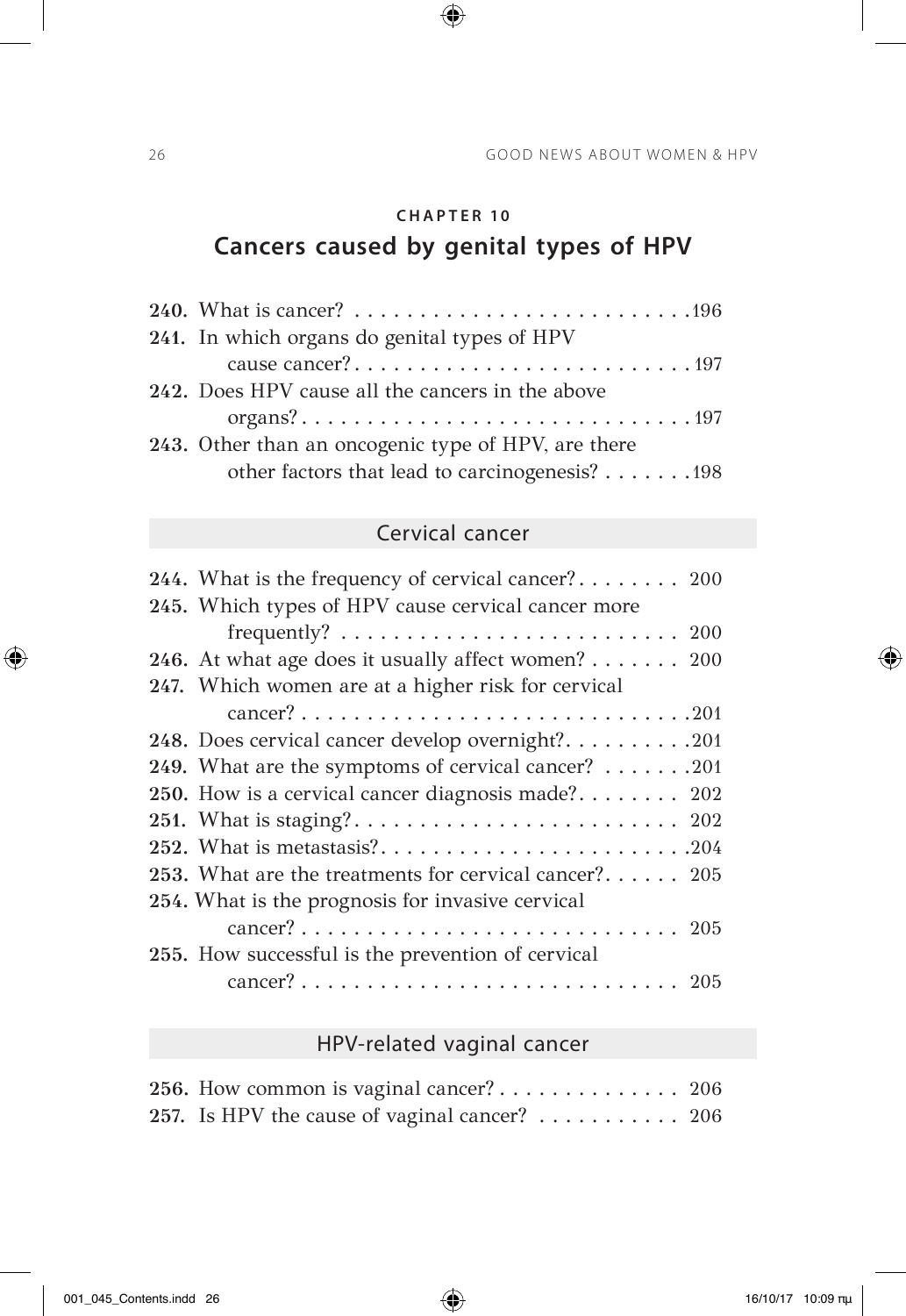# **CHAPTER 10 Cancers caused by genital types of HPV**

 $\bigoplus$ 

| 241. In which organs do genital types of HPV        |
|-----------------------------------------------------|
|                                                     |
| 242. Does HPV cause all the cancers in the above    |
|                                                     |
| 243. Other than an oncogenic type of HPV, are there |
| other factors that lead to carcinogenesis? 198      |

### Cervical cancer

| 244. What is the frequency of cervical cancer? 200                               |
|----------------------------------------------------------------------------------|
| 245. Which types of HPV cause cervical cancer more                               |
| frequently? $\ldots \ldots \ldots \ldots \ldots \ldots \ldots \ldots \ldots 200$ |
| 246. At what age does it usually affect women? 200                               |
| 247. Which women are at a higher risk for cervical                               |
|                                                                                  |
| 248. Does cervical cancer develop overnight?201                                  |
| 249. What are the symptoms of cervical cancer? 201                               |
| 250. How is a cervical cancer diagnosis made? 202                                |
|                                                                                  |
|                                                                                  |
| 253. What are the treatments for cervical cancer? 205                            |
| 254. What is the prognosis for invasive cervical                                 |
|                                                                                  |
| 255. How successful is the prevention of cervical                                |
|                                                                                  |

## HPV-related vaginal cancer

| 256. How common is vaginal cancer? $\dots \dots \dots \dots \dots$ 206 |  |
|------------------------------------------------------------------------|--|
| 257. Is HPV the cause of vaginal cancer? 206                           |  |

 $\bigoplus$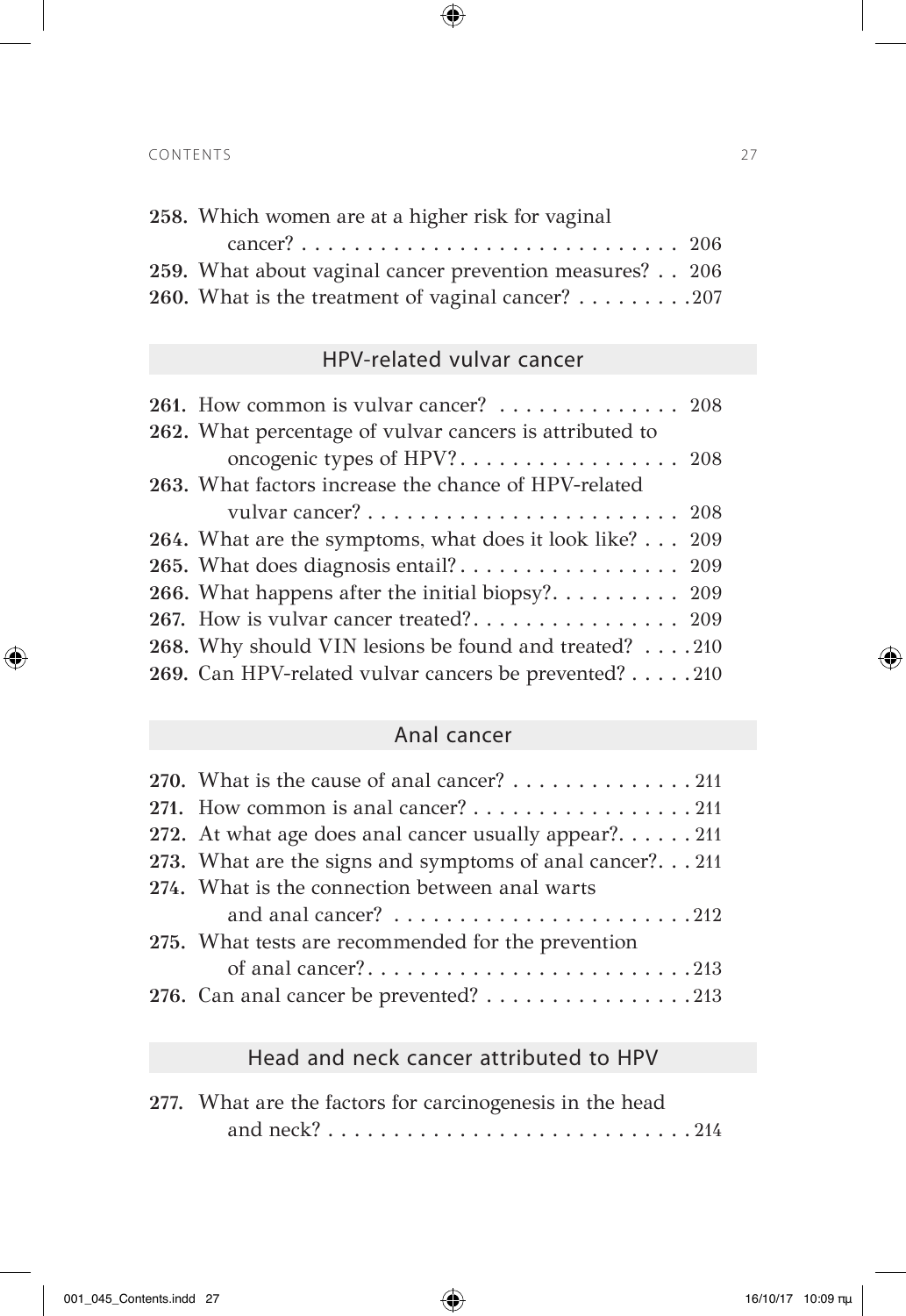| 258. Which women are at a higher risk for vaginal       |  |
|---------------------------------------------------------|--|
|                                                         |  |
| 259. What about vaginal cancer prevention measures? 206 |  |
| 260. What is the treatment of vaginal cancer? 207       |  |

 $\bigoplus$ 

### HPV-related vulvar cancer

| 261. How common is vulvar cancer? 208                   |  |
|---------------------------------------------------------|--|
| 262. What percentage of vulvar cancers is attributed to |  |
|                                                         |  |
| 263. What factors increase the chance of HPV-related    |  |
|                                                         |  |
| 264. What are the symptoms, what does it look like? 209 |  |
|                                                         |  |
| 266. What happens after the initial biopsy? 209         |  |
|                                                         |  |
| 268. Why should VIN lesions be found and treated? 210   |  |
| 269. Can HPV-related vulvar cancers be prevented? 210   |  |

### Anal cancer

| 270. What is the cause of anal cancer? $\dots \dots \dots \dots \dots 211$ |
|----------------------------------------------------------------------------|
| 271. How common is anal cancer? 211                                        |
| 272. At what age does anal cancer usually appear?211                       |
| 273. What are the signs and symptoms of anal cancer?211                    |
| 274. What is the connection between anal warts                             |
| and anal cancer? $\ldots \ldots \ldots \ldots \ldots \ldots \ldots 212$    |
| 275. What tests are recommended for the prevention                         |
| of anal cancer?213                                                         |
| 276. Can anal cancer be prevented? 213                                     |

## Head and neck cancer attributed to HPV

| 277. What are the factors for carcinogenesis in the head |  |
|----------------------------------------------------------|--|
|                                                          |  |

 $\bigoplus$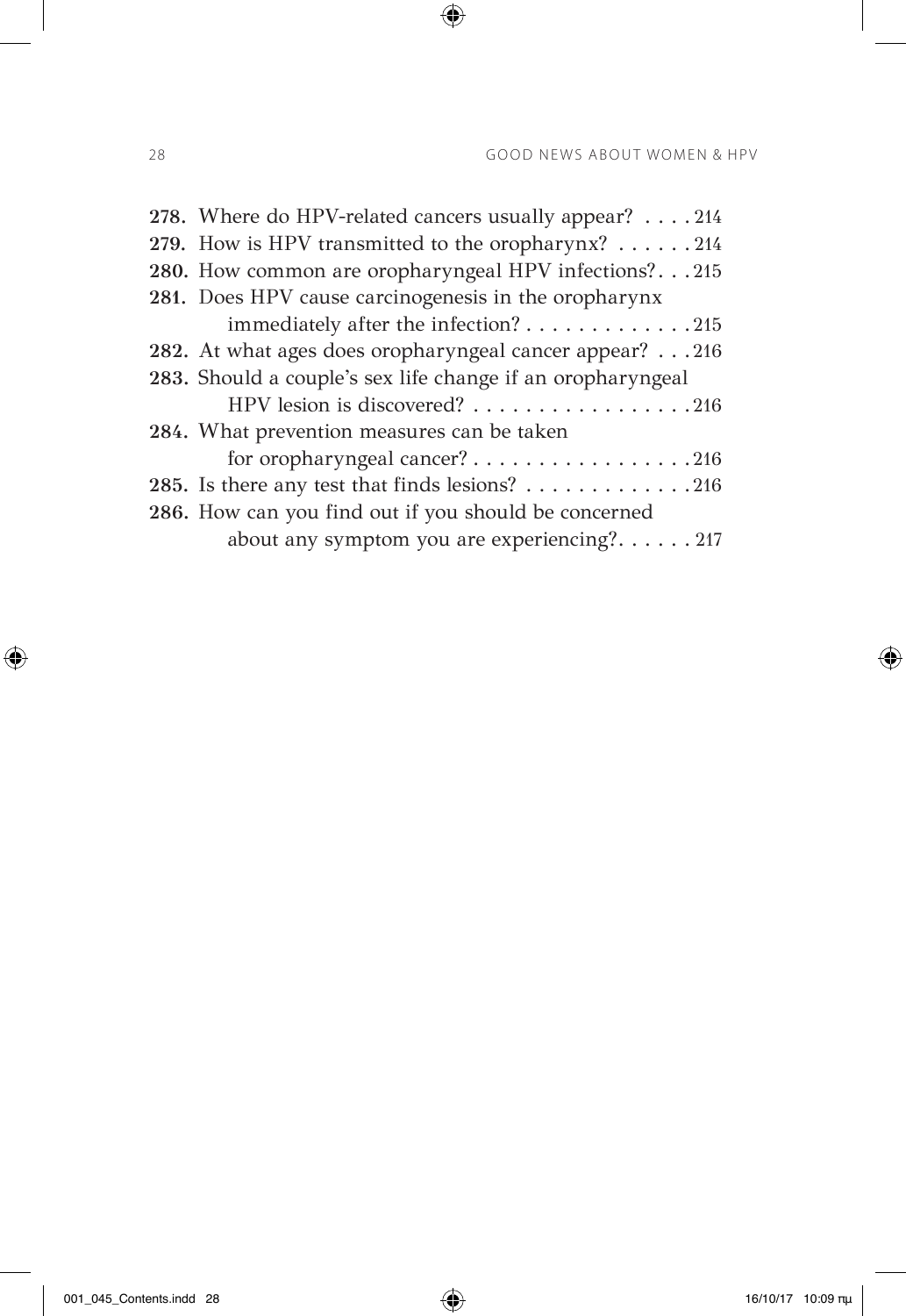| 278. Where do HPV-related cancers usually appear? 214            |
|------------------------------------------------------------------|
| 279. How is HPV transmitted to the oropharynx? $\dots \dots 214$ |
| 280. How common are oropharyngeal HPV infections?215             |
| 281. Does HPV cause carcinogenesis in the oropharynx             |
| immediately after the infection? 215                             |
| 282. At what ages does oropharyngeal cancer appear? 216          |
| 283. Should a couple's sex life change if an oropharyngeal       |
| HPV lesion is discovered? 216                                    |
| 284. What prevention measures can be taken                       |
| for oropharyngeal cancer? 216                                    |
| 285. Is there any test that finds lesions? 216                   |
| 286. How can you find out if you should be concerned             |
| about any symptom you are experiencing?217                       |

 $\bigoplus$ 

 $\bigoplus$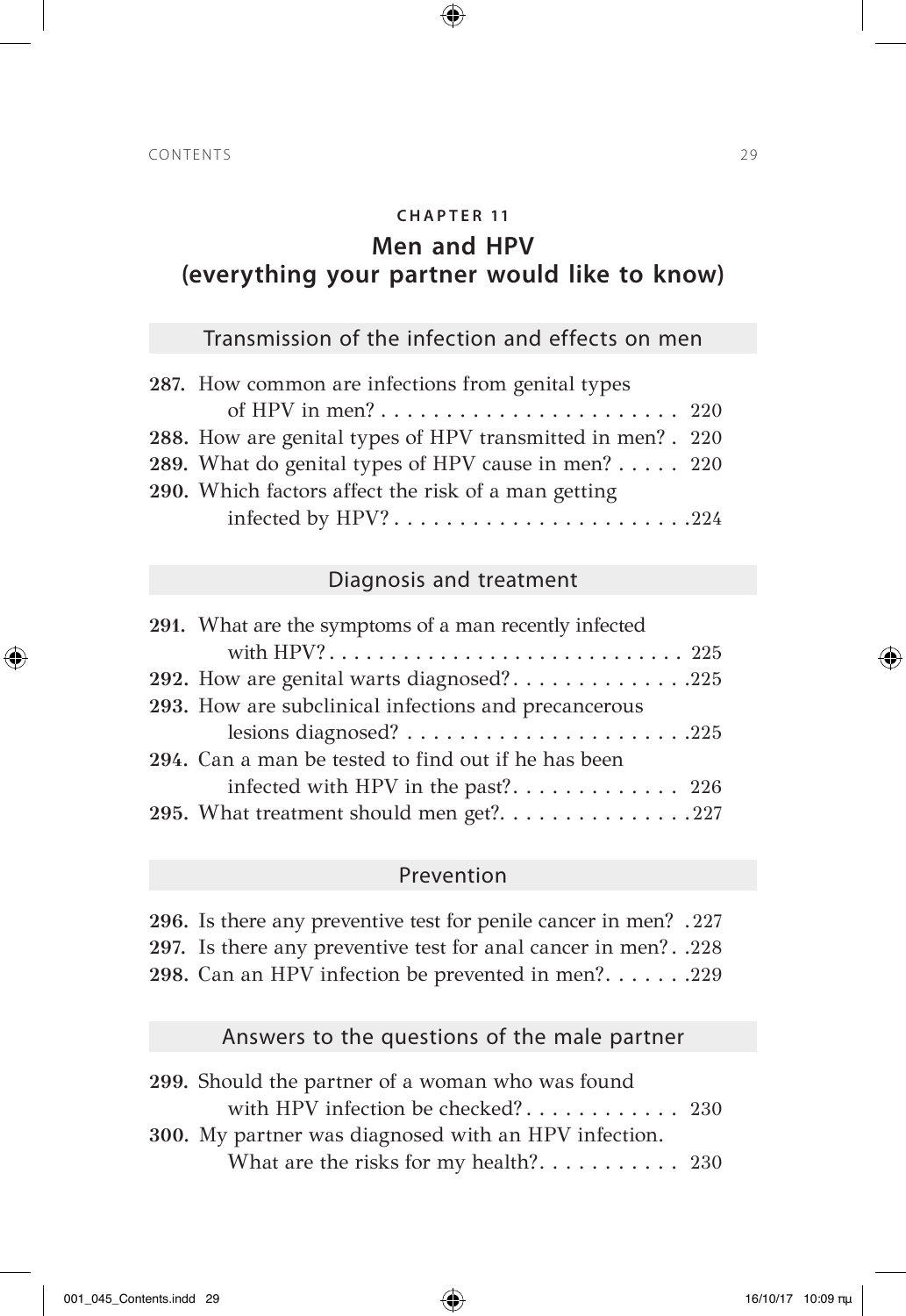#### **CH A P T E R 11**

 $\bigoplus$ 

### **Men and HPV (everything your partner would like to know)**

### Transmission of the infection and effects on men

| 287. How common are infections from genital types            |  |
|--------------------------------------------------------------|--|
|                                                              |  |
| 288. How are genital types of HPV transmitted in men? . 220  |  |
| 289. What do genital types of HPV cause in men? $\ldots$ 220 |  |
| 290. Which factors affect the risk of a man getting          |  |
| infected by HPV?224                                          |  |
|                                                              |  |

#### Diagnosis and treatment

| 291. What are the symptoms of a man recently infected |
|-------------------------------------------------------|
| with HPV? 225                                         |
| 292. How are genital warts diagnosed?225              |
| 293. How are subclinical infections and precancerous  |
|                                                       |
| 294. Can a man be tested to find out if he has been   |
|                                                       |
| 295. What treatment should men get?227                |

#### Prevention

**296.** Is there any preventive test for penile cancer in men? . 227 **297.** Is there any preventive test for anal cancer in men? . 228 **298.** Can an HPV infection be prevented in men?. . . . . . . 229

#### Answers to the questions of the male partner

| 299. Should the partner of a woman who was found     |  |
|------------------------------------------------------|--|
| with HPV infection be checked? 230                   |  |
| 300. My partner was diagnosed with an HPV infection. |  |
|                                                      |  |

⊕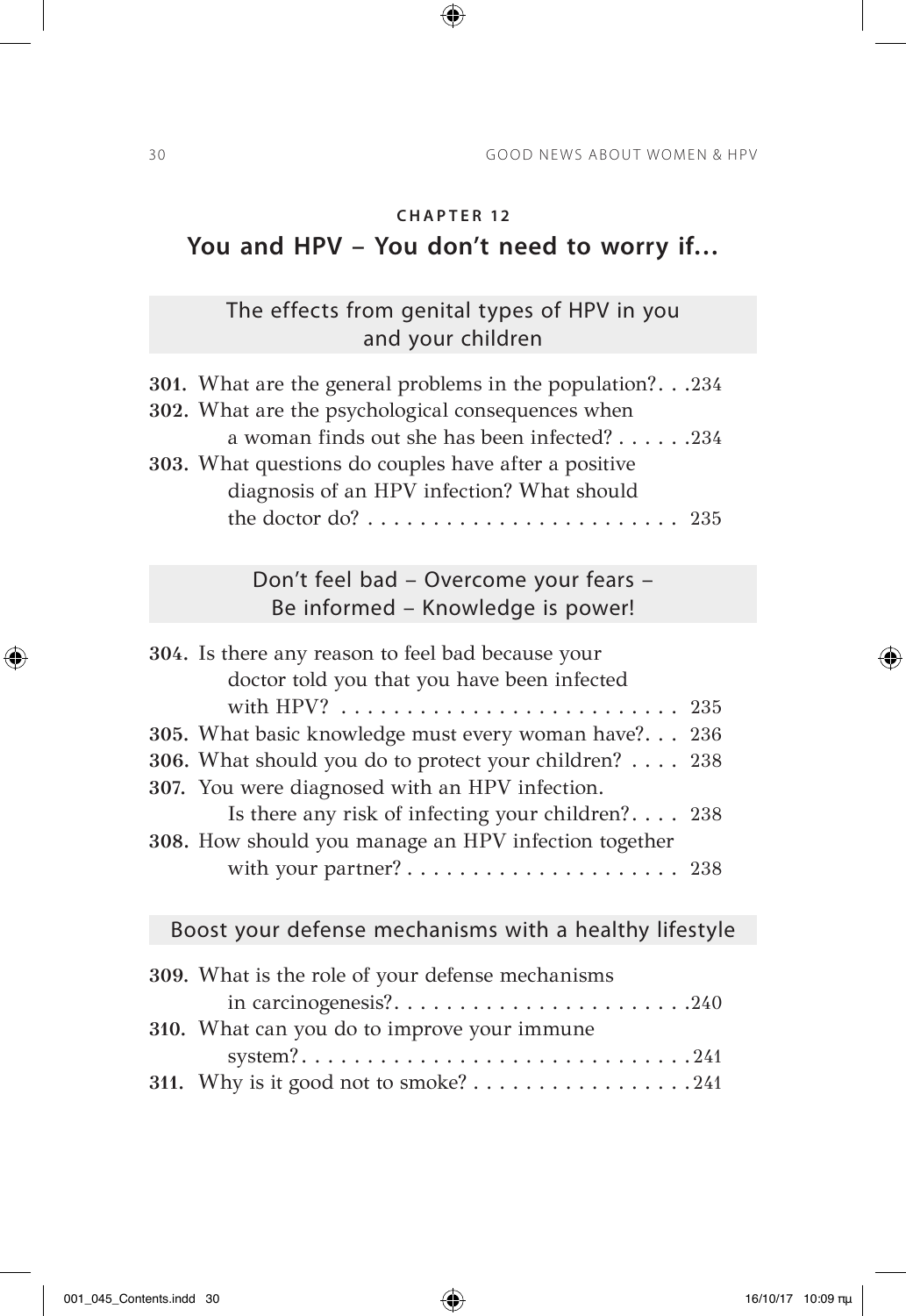# **You and HPV – You don't need to worry if…**

 $\bigoplus$ 

## The effects from genital types of HPV in you and your children

| 301. What are the general problems in the population?.234<br>302. What are the psychological consequences when<br>a woman finds out she has been infected? 234<br>303. What questions do couples have after a positive<br>diagnosis of an HPV infection? What should |     |
|----------------------------------------------------------------------------------------------------------------------------------------------------------------------------------------------------------------------------------------------------------------------|-----|
| the doctor do? $\ldots \ldots \ldots \ldots \ldots \ldots \ldots \ldots$ 235                                                                                                                                                                                         |     |
| Don't feel bad - Overcome your fears -<br>Be informed - Knowledge is power!                                                                                                                                                                                          |     |
| 304. Is there any reason to feel bad because your<br>doctor told you that you have been infected                                                                                                                                                                     |     |
| 305. What basic knowledge must every woman have?                                                                                                                                                                                                                     | 236 |
| 306. What should you do to protect your children?<br>307. You were diagnosed with an HPV infection.                                                                                                                                                                  | 238 |
| Is there any risk of infecting your children? 238<br>308. How should you manage an HPV infection together                                                                                                                                                            |     |
| with your partner? 238                                                                                                                                                                                                                                               |     |
| Boost your defense mechanisms with a healthy lifestyle                                                                                                                                                                                                               |     |
|                                                                                                                                                                                                                                                                      |     |

| 309. What is the role of your defense mechanisms |
|--------------------------------------------------|
| in carcinogenesis?240                            |
| 310. What can you do to improve your immune      |
|                                                  |
|                                                  |
|                                                  |

 $\bigoplus$